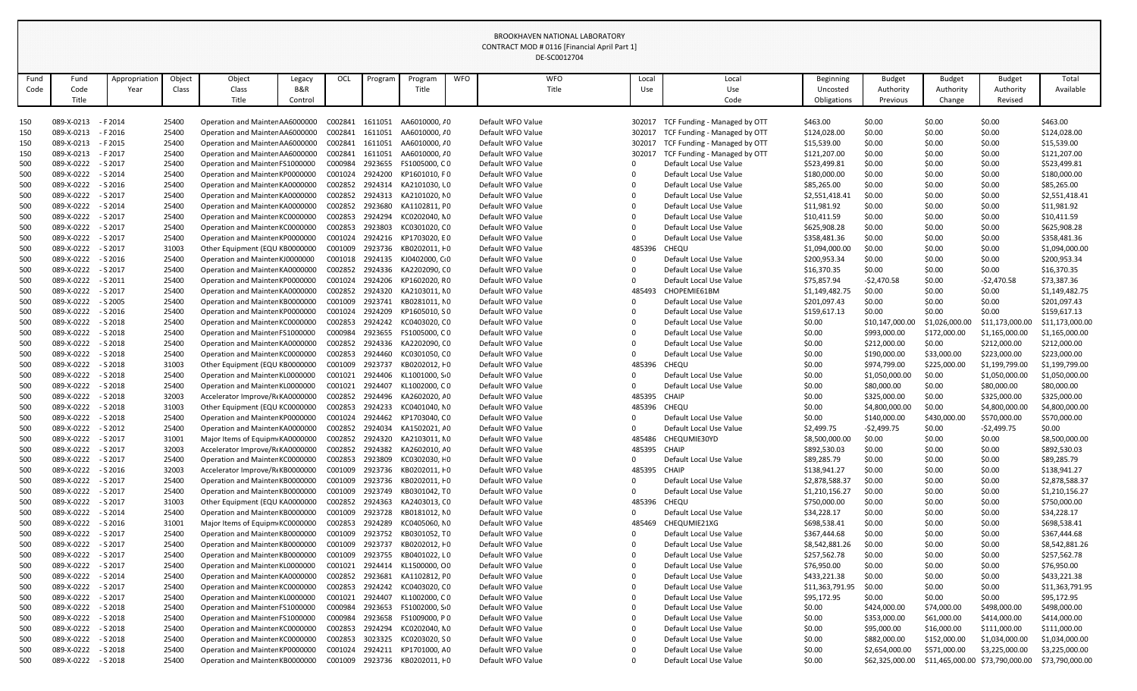|              |                          |                          |                 |                                                                    |                          |                    |                    |                                |            | DE-SC0012704                           |              |                                                    |                                  |                            |                            |                                 |                                  |
|--------------|--------------------------|--------------------------|-----------------|--------------------------------------------------------------------|--------------------------|--------------------|--------------------|--------------------------------|------------|----------------------------------------|--------------|----------------------------------------------------|----------------------------------|----------------------------|----------------------------|---------------------------------|----------------------------------|
|              |                          |                          |                 |                                                                    |                          |                    |                    |                                | <b>WFO</b> | <b>WFO</b>                             |              |                                                    |                                  |                            |                            |                                 |                                  |
| Fund<br>Code | Fund<br>Code             | Appropriatior<br>Year    | Object<br>Class | Object<br>Class                                                    | Legacy<br><b>B&amp;R</b> | OCL                | Program            | Program<br>Title               |            | Title                                  | Local<br>Use | Local<br>Use                                       | <b>Beginning</b><br>Uncosted     | <b>Budget</b><br>Authority | <b>Budget</b><br>Authority | <b>Budget</b><br>Authority      | Total<br>Available               |
|              | Title                    |                          |                 | Title                                                              | Control                  |                    |                    |                                |            |                                        |              | Code                                               | Obligations                      | Previous                   | Change                     | Revised                         |                                  |
|              |                          |                          |                 |                                                                    |                          |                    |                    |                                |            |                                        |              |                                                    |                                  |                            |                            |                                 |                                  |
| 150          | 089-X-0213               | - F 2014                 | 25400           | Operation and Mainter AA6000000                                    |                          | C002841            | 1611051            | AA6010000, / 0                 |            | Default WFO Value                      | 302017       | TCF Funding - Managed by OTT                       | \$463.00                         | \$0.00                     | \$0.00                     | \$0.00                          | \$463.00                         |
| 150          | 089-X-0213               | $- F 2016$               | 25400           | Operation and Mainter AA6000000                                    |                          | C002841            | 1611051            | AA6010000, / 0                 |            | Default WFO Value                      | 302017       | TCF Funding - Managed by OTT                       | \$124,028.00                     | \$0.00                     | \$0.00                     | \$0.00                          | \$124,028.00                     |
| 150          | 089-X-0213               | - F 2015                 | 25400           | Operation and Mainter AA6000000                                    |                          | C002841            | 1611051            | AA6010000, / 0                 |            | Default WFO Value                      | 302017       | TCF Funding - Managed by OTT                       | \$15,539.00                      | \$0.00                     | \$0.00                     | \$0.00                          | \$15,539.00                      |
| 150          | 089-X-0213               | $- F 2017$               | 25400           | Operation and Mainter AA6000000                                    |                          | C002841            | 1611051            | AA6010000, / 0                 |            | Default WFO Value                      | 302017       | TCF Funding - Managed by OTT                       | \$121,207.00                     | \$0.00                     | \$0.00                     | \$0.00                          | \$121,207.00                     |
| 500          | 089-X-0222               | $-$ S 2017               | 25400           | Operation and Mainter FS1000000                                    |                          | C000984            | 2923655            | FS1005000, CO                  |            | Default WFO Value                      |              | Default Local Use Value                            | \$523,499.81                     | \$0.00                     | \$0.00                     | \$0.00                          | \$523,499.81                     |
| 500          | 089-X-0222               | $-$ S 2014               | 25400           | Operation and Mainter KP0000000                                    |                          | C001024            | 2924200            | KP1601010, FO                  |            | Default WFO Value                      | 0            | Default Local Use Value                            | \$180,000.00                     | \$0.00                     | \$0.00                     | \$0.00                          | \$180,000.00                     |
| 500          | 089-X-0222               | $-$ S 2016               | 25400           | Operation and Mainter KA0000000                                    |                          | C002852            | 2924314            | KA2101030, l0                  |            | Default WFO Value                      |              | Default Local Use Value                            | \$85,265.00                      | \$0.00                     | \$0.00                     | \$0.00                          | \$85,265.00                      |
| 500          | 089-X-0222               | $-$ S 2017               | 25400           | Operation and Mainter KA0000000                                    |                          | C002852            | 2924313            | KA2101020, NO                  |            | Default WFO Value                      |              | Default Local Use Value                            | \$2,551,418.41                   | \$0.00                     | \$0.00                     | \$0.00                          | \$2,551,418.41                   |
| 500          | 089-X-0222               | $-$ S 2014               | 25400           | Operation and Mainter KA0000000                                    |                          | C002852            | 2923680            | KA1102811, FO                  |            | Default WFO Value                      |              | Default Local Use Value                            | \$11,981.92                      | \$0.00                     | \$0.00                     | \$0.00                          | \$11,981.92                      |
| 500          | 089-X-0222               | $-$ S 2017               | 25400           | Operation and Mainter KC0000000<br>Operation and Mainter KC0000000 |                          | C002853            | 2924294            | KC0202040, NO                  |            | Default WFO Value<br>Default WFO Value |              | Default Local Use Value                            | \$10,411.59                      | \$0.00                     | \$0.00                     | \$0.00                          | \$10,411.59                      |
| 500          | 089-X-0222<br>089-X-0222 | $-$ S 2017<br>$-$ S 2017 | 25400<br>25400  |                                                                    |                          | C002853<br>C001024 | 2923803<br>2924216 | KC0301020, CO<br>KP1703020, EO |            |                                        |              | Default Local Use Value                            | \$625,908.28                     | \$0.00<br>\$0.00           | \$0.00<br>\$0.00           | \$0.00<br>\$0.00                | \$625,908.28                     |
| 500<br>500   | 089-X-0222               | $-$ S 2017               | 31003           | Operation and Mainter KP0000000<br>Other Equipment (EQU KB0000000  |                          | C001009            | 2923736            | KB0202011, +0                  |            | Default WFO Value<br>Default WFO Value | 485396       | Default Local Use Value<br>CHEQU                   | \$358,481.36<br>\$1,094,000.00   | \$0.00                     | \$0.00                     | \$0.00                          | \$358,481.36<br>\$1,094,000.00   |
| 500          | 089-X-0222               | $-$ S 2016               | 25400           | Operation and Mainter KJ0000000                                    |                          | C001018            | 2924135            | KJ0402000, C+0                 |            | Default WFO Value                      |              | Default Local Use Value                            | \$200,953.34                     | \$0.00                     | \$0.00                     | \$0.00                          | \$200,953.34                     |
| 500          | 089-X-0222               | $-$ S 2017               | 25400           | Operation and Mainter KA0000000                                    |                          | C002852            | 2924336            | KA2202090, C 0                 |            | Default WFO Value                      | $\Omega$     | Default Local Use Value                            | \$16,370.35                      | \$0.00                     | \$0.00                     | \$0.00                          | \$16,370.35                      |
| 500          | 089-X-0222               | $-$ S 2011               | 25400           | Operation and Mainter KP0000000                                    |                          | C001024            | 2924206            | KP1602020, RO                  |            | Default WFO Value                      |              | Default Local Use Value                            | \$75,857.94                      | $-52,470.58$               | \$0.00                     | $-52,470.58$                    | \$73,387.36                      |
| 500          | 089-X-0222               | $-$ S 2017               | 25400           | Operation and Mainter KA0000000                                    |                          | C002852            | 2924320            | KA2103011, NO                  |            | Default WFO Value                      | 485493       | CHOPEMIE61BM                                       | \$1,149,482.75                   | \$0.00                     | \$0.00                     | \$0.00                          | \$1,149,482.75                   |
| 500          | 089-X-0222               | $-$ S 2005               | 25400           | Operation and Mainter KB0000000                                    |                          | C001009            | 2923741            | KB0281011, NO                  |            | Default WFO Value                      |              | Default Local Use Value                            | \$201,097.43                     | \$0.00                     | \$0.00                     | \$0.00                          | \$201,097.43                     |
| 500          | 089-X-0222               | $-$ S 2016               | 25400           | Operation and Mainter KP0000000                                    |                          | C001024            | 2924209            | KP1605010, SO                  |            | Default WFO Value                      |              | Default Local Use Value                            | \$159,617.13                     | \$0.00                     | \$0.00                     | \$0.00                          | \$159,617.13                     |
| 500          | 089-X-0222               | $- S 2018$               | 25400           | Operation and Mainter KC0000000                                    |                          | C002853            | 2924242            | KC0403020, CO                  |            | Default WFO Value                      |              | Default Local Use Value                            | \$0.00                           | \$10,147,000.00            | \$1,026,000.00             | \$11,173,000.00                 | \$11,173,000.00                  |
| 500          | 089-X-0222               | $-52018$                 | 25400           | Operation and Mainter FS1000000                                    |                          | C000984            | 2923655            | FS1005000, CO                  |            | Default WFO Value                      |              | Default Local Use Value                            | \$0.00                           | \$993,000.00               | \$172,000.00               | \$1,165,000.00                  | \$1,165,000.00                   |
| 500          | 089-X-0222               | $-$ S 2018               | 25400           | Operation and Mainter KA0000000                                    |                          | C002852            | 2924336            | KA2202090, CO                  |            | Default WFO Value                      |              | Default Local Use Value                            | \$0.00                           | \$212,000.00               | \$0.00                     | \$212,000.00                    | \$212,000.00                     |
| 500          | 089-X-0222               | $-$ S 2018               | 25400           | Operation and Mainter KC0000000                                    |                          | C002853            | 2924460            | KC0301050, CO                  |            | Default WFO Value                      |              | Default Local Use Value                            | \$0.00                           | \$190,000.00               | \$33,000.00                | \$223,000.00                    | \$223,000.00                     |
| 500          | 089-X-0222               | $- S 2018$               | 31003           | Other Equipment (EQU KB0000000                                     |                          | C001009            | 2923737            | KB0202012, +0                  |            | Default WFO Value                      | 485396       | CHEQU                                              | \$0.00                           | \$974,799.00               | \$225,000.00               | \$1,199,799.00                  | \$1,199,799.00                   |
| 500          | 089-X-0222               | $-$ S 2018               | 25400           | Operation and Mainter KL0000000                                    |                          | C001021            | 2924406            | KL1001000, S 0                 |            | Default WFO Value                      |              | Default Local Use Value                            | \$0.00                           | \$1,050,000.00             | \$0.00                     | \$1,050,000.00                  | \$1,050,000.00                   |
| 500          | 089-X-0222               | $-52018$                 | 25400           | Operation and Mainter KL0000000                                    |                          | C001021            | 2924407            | KL1002000, CO                  |            | Default WFO Value                      |              | Default Local Use Value                            | \$0.00                           | \$80,000.00                | \$0.00                     | \$80,000.00                     | \$80,000.00                      |
| 500          | 089-X-0222               | $-$ S 2018               | 32003           | Accelerator Improve/R(KA0000000                                    |                          | C002852            | 2924496            | KA2602020, <i>I</i> 0          |            | Default WFO Value                      | 485395       | CHAIP                                              | \$0.00                           | \$325,000.00               | \$0.00                     | \$325,000.00                    | \$325,000.00                     |
| 500          | 089-X-0222               | $-$ S 2018               | 31003           | Other Equipment (EQU KC0000000                                     |                          | C002853            | 2924233            | KC0401040, NO                  |            | Default WFO Value                      | 485396       | CHEQU                                              | \$0.00                           | \$4,800,000.00             | \$0.00                     | \$4,800,000.00                  | \$4,800,000.00                   |
| 500          | 089-X-0222               | $-$ S 2018               | 25400           | Operation and Mainter KP0000000                                    |                          | C001024            | 2924462            | KP1703040, CO                  |            | Default WFO Value                      |              | Default Local Use Value                            | \$0.00                           | \$140,000.00               | \$430,000.00               | \$570,000.00                    | \$570,000.00                     |
| 500          | 089-X-0222               | $-52012$                 | 25400           | Operation and Mainter KA0000000                                    |                          | C002852            | 2924034            | KA1502021, <i>I</i> 0          |            | Default WFO Value                      | 0            | Default Local Use Value                            | \$2,499.75                       | $-52,499.75$               | \$0.00                     | -\$2,499.75                     | \$0.00                           |
| 500          | 089-X-0222               | $-$ S 2017               | 31001           | Major Items of Equipm KA0000000                                    |                          | C002852            | 2924320            | KA2103011, NO                  |            | Default WFO Value                      | 485486       | CHEQUMIE30YD                                       | \$8,500,000.00                   | \$0.00                     | \$0.00                     | \$0.00                          | \$8,500,000.00                   |
| 500          | 089-X-0222               | $-$ S 2017               | 32003           | Accelerator Improve/R(KA0000000                                    |                          | C002852            | 2924382            | KA2602010, <i>I</i> 0          |            | Default WFO Value                      | 485395       | <b>CHAIP</b>                                       | \$892,530.03                     | \$0.00                     | \$0.00                     | \$0.00                          | \$892,530.03                     |
| 500          | 089-X-0222               | $-$ S 2017               | 25400           | Operation and Mainter KC0000000                                    |                          | C002853            | 2923809            | KC0302030, + 0                 |            | Default WFO Value                      |              | Default Local Use Value                            | \$89,285.79                      | \$0.00                     | \$0.00                     | \$0.00                          | \$89,285.79                      |
| 500          | 089-X-0222               | $-$ S 2016               | 32003           | Accelerator Improve/R(KB0000000                                    |                          | C001009            | 2923736            |                                |            | Default WFO Value                      | 485395       | <b>CHAIP</b>                                       | \$138,941.27                     | \$0.00                     | \$0.00                     | \$0.00                          | \$138,941.27                     |
| 500<br>500   | 089-X-0222<br>089-X-0222 | $-$ S 2017<br>$-$ S 2017 | 25400<br>25400  | Operation and Mainter KB0000000<br>Operation and Mainter KB0000000 |                          | C001009<br>C001009 | 2923736<br>2923749 | KB0301042, TO                  |            | Default WFO Value<br>Default WFO Value | 0            | Default Local Use Value<br>Default Local Use Value | \$2,878,588.37<br>\$1,210,156.27 | \$0.00<br>\$0.00           | \$0.00<br>\$0.00           | \$0.00<br>\$0.00                | \$2,878,588.37<br>\$1,210,156.27 |
| 500          | 089-X-0222               | $-$ S 2017               | 31003           | Other Equipment (EQU KA0000000                                     |                          | C002852            | 2924363            | KA2403013, CO                  |            | Default WFO Value                      | 485396       | <b>CHEQU</b>                                       | \$750,000.00                     | \$0.00                     | \$0.00                     | \$0.00                          | \$750,000.00                     |
| 500          | 089-X-0222               | - S 2014                 | 25400           | Operation and Mainter KB0000000                                    |                          | C001009            |                    | 2923728 KB0181012, NO          |            | Default WFO Value                      |              | Default Local Use Value                            | \$34,228.17                      | \$0.00                     | \$0.00                     | \$0.00                          | \$34,228.17                      |
| 500          | 089-X-0222               | $-$ S 2016               | 31001           | Major Items of Equipm KC0000000                                    |                          | C002853            | 2924289            | KC0405060, NO                  |            | Default WFO Value                      | 485469       | CHEQUMIE21XG                                       | \$698,538.41                     | \$0.00                     | \$0.00                     | \$0.00                          | \$698,538.41                     |
| 500          | 089-X-0222               | $-$ S 2017               | 25400           | Operation and Mainter KB0000000                                    |                          | C001009            | 2923752            | KB0301052, TO                  |            | Default WFO Value                      |              | Default Local Use Value                            | \$367,444.68                     | \$0.00                     | \$0.00                     | \$0.00                          | \$367,444.68                     |
| 500          | 089-X-0222               | $-$ S 2017               | 25400           | Operation and Mainter KB0000000                                    |                          | C001009            | 2923737            | KB0202012, F0                  |            | Default WFO Value                      |              | Default Local Use Value                            | \$8,542,881.26                   | \$0.00                     | \$0.00                     | \$0.00                          | \$8,542,881.26                   |
| 500          | 089-X-0222               | $-$ S 2017               | 25400           | Operation and Mainter KB0000000                                    |                          | C001009            | 2923755            | KB0401022, L 0                 |            | Default WFO Value                      |              | Default Local Use Value                            | \$257,562.78                     | \$0.00                     | \$0.00                     | \$0.00                          | \$257,562.78                     |
| 500          | 089-X-0222               | $-$ S 2017               | 25400           | Operation and Mainter KL0000000                                    |                          | C001021            | 2924414            | KL1500000, CO                  |            | Default WFO Value                      | 0            | Default Local Use Value                            | \$76,950.00                      | \$0.00                     | \$0.00                     | \$0.00                          | \$76,950.00                      |
| 500          | 089-X-0222               | $-$ S 2014               | 25400           | Operation and Mainter KA0000000                                    |                          | C002852            | 2923681            | KA1102812, FO                  |            | Default WFO Value                      |              | Default Local Use Value                            | \$433,221.38                     | \$0.00                     | \$0.00                     | \$0.00                          | \$433,221.38                     |
| 500          | 089-X-0222               | $-$ S 2017               | 25400           | Operation and Mainter KC0000000                                    |                          | C002853            | 2924242            | KC0403020, CO                  |            | Default WFO Value                      | $\Omega$     | Default Local Use Value                            | \$11,363,791.95                  | \$0.00                     | \$0.00                     | \$0.00                          | \$11,363,791.95                  |
| 500          | 089-X-0222               | $-$ S 2017               | 25400           | Operation and Mainter KL0000000                                    |                          | C001021            | 2924407            | KL1002000, CO                  |            | Default WFO Value                      | 0            | Default Local Use Value                            | \$95,172.95                      | \$0.00                     | \$0.00                     | \$0.00                          | \$95,172.95                      |
| 500          | 089-X-0222               | $-$ S 2018               | 25400           | Operation and Mainter FS1000000                                    |                          | C000984            | 2923653            | FS1002000, S 0                 |            | Default WFO Value                      |              | Default Local Use Value                            | \$0.00                           | \$424,000.00               | \$74,000.00                | \$498,000.00                    | \$498,000.00                     |
| 500          | 089-X-0222               | $-$ S 2018               | 25400           | Operation and Mainter FS1000000                                    |                          | C000984            | 2923658            | FS1009000, PO                  |            | Default WFO Value                      |              | Default Local Use Value                            | \$0.00                           | \$353,000.00               | \$61,000.00                | \$414,000.00                    | \$414,000.00                     |
| 500          | 089-X-0222               | $-$ S 2018               | 25400           | Operation and Mainter KC0000000                                    |                          | C002853            | 2924294            | KC0202040, NO                  |            | Default WFO Value                      |              | Default Local Use Value                            | \$0.00                           | \$95,000.00                | \$16,000.00                | \$111,000.00                    | \$111,000.00                     |
| 500          | 089-X-0222               | $- S 2018$               | 25400           | Operation and Mainter KC0000000                                    |                          | C002853            | 3023325            | KC0203020, SO                  |            | Default WFO Value                      |              | Default Local Use Value                            | \$0.00                           | \$882,000.00               | \$152,000.00               | \$1,034,000.00                  | \$1,034,000.00                   |
| 500          | 089-X-0222               | $-$ S 2018               | 25400           | Operation and Mainter KP0000000                                    |                          | C001024            | 2924211            | KP1701000, AO                  |            | Default WFO Value                      | 0            | Default Local Use Value                            | \$0.00                           | \$2,654,000.00             | \$571,000.00               | \$3,225,000.00                  | \$3,225,000.00                   |
| 500          | 089-X-0222               | - S 2018                 | 25400           | Operation and Mainter KB0000000                                    |                          | C001009            |                    | 2923736 KB0202011, F0          |            | Default WFO Value                      |              | Default Local Use Value                            | \$0.00                           | \$62,325,000.00            |                            | \$11,465,000.00 \$73,790,000.00 | \$73,790,000.00                  |

BROOKHAVEN NATIONAL LABORATORY CONTRACT MOD # 0116 [Financial April Part 1]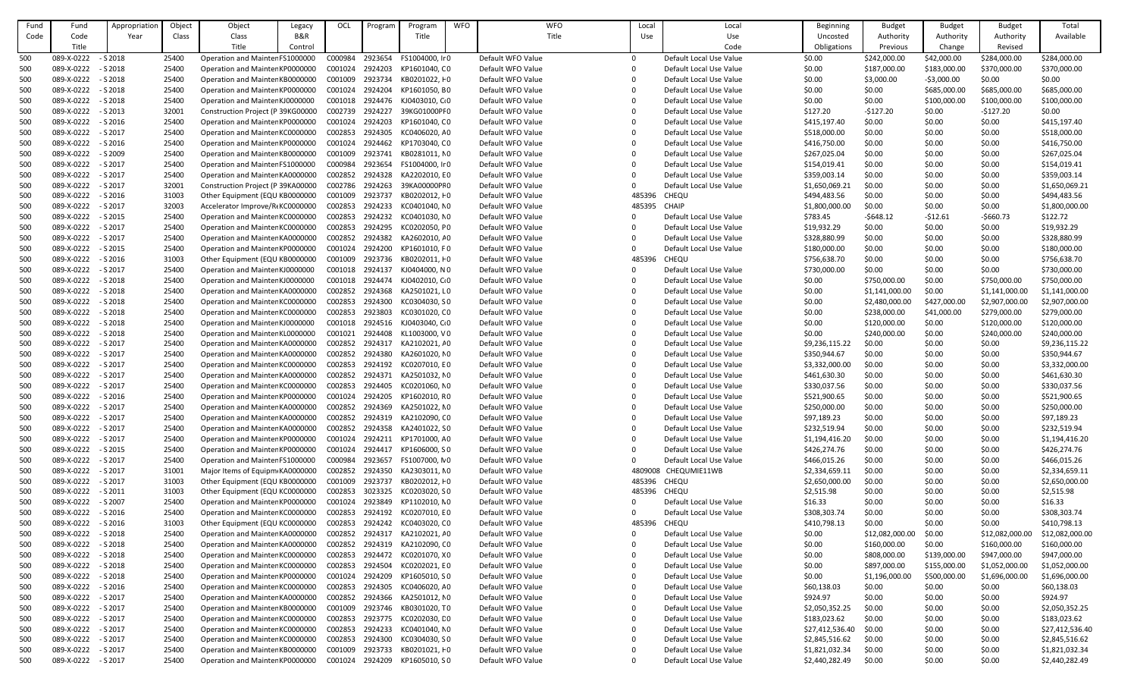| Fund | Fund       | Appropriation | Object | Object                            | Legacy         | OCL     | Program | Program                   | <b>WFO</b> | <b>WFO</b>        | Local    | Local                   | Beginning       | <b>Budget</b>   | <b>Budget</b> | <b>Budget</b>   | Total           |
|------|------------|---------------|--------|-----------------------------------|----------------|---------|---------|---------------------------|------------|-------------------|----------|-------------------------|-----------------|-----------------|---------------|-----------------|-----------------|
| Code | Code       | Year          | Class  | Class                             | <b>B&amp;R</b> |         |         | Title                     |            | Title             | Use      | Use                     | Uncosted        | Authority       | Authority     | Authority       | Available       |
|      | Title      |               |        | Title                             | Control        |         |         |                           |            |                   |          | Code                    | Obligations     | Previous        | Change        | Revised         |                 |
| 500  | 089-X-0222 | $- S 2018$    | 25400  | Operation and Mainter FS1000000   |                | C000984 | 2923654 | FS1004000, Ir 0           |            | Default WFO Value | $\Omega$ | Default Local Use Value | \$0.00          | \$242,000.00    | \$42,000.00   | \$284,000.00    | \$284,000.00    |
| 500  | 089-X-0222 | $-$ S 2018    | 25400  | Operation and Mainter KP0000000   |                | C001024 | 2924203 | KP1601040, CO             |            | Default WFO Value | ∩        | Default Local Use Value | \$0.00          | \$187,000.00    | \$183,000.00  | \$370,000.00    | \$370,000.00    |
| 500  | 089-X-0222 | $-$ S 2018    | 25400  | Operation and Mainter KB0000000   |                | C001009 | 2923734 | KB0201022, +0             |            | Default WFO Value | 0        | Default Local Use Value | \$0.00          | \$3,000.00      | $-53,000.00$  | \$0.00          | \$0.00          |
| 500  | 089-X-0222 | $- S 2018$    | 25400  | Operation and Mainter KP0000000   |                | C001024 | 2924204 | KP1601050, BO             |            | Default WFO Value | ∩        | Default Local Use Value | \$0.00          | \$0.00          | \$685,000.00  | \$685,000.00    | \$685,000.00    |
| 500  | 089-X-0222 | $- S 2018$    | 25400  | Operation and Mainter KJ0000000   |                | C001018 | 2924476 | KJ0403010, C <sub>0</sub> |            | Default WFO Value |          | Default Local Use Value | \$0.00          | \$0.00          | \$100,000.00  | \$100,000.00    | \$100,000.00    |
| 500  | 089-X-0222 | $-$ S 2013    | 32001  | Construction Project (P 39KG00000 |                | C002739 | 2924227 | 39KG01000PF0              |            | Default WFO Value | 0        | Default Local Use Value | \$127.20        | $-5127.20$      | \$0.00        | $-5127.20$      | \$0.00          |
| 500  | 089-X-0222 | $-$ S 2016    | 25400  | Operation and Mainter KP0000000   |                | C001024 | 2924203 | KP1601040, CO             |            | Default WFO Value | $\Omega$ | Default Local Use Value | \$415,197.40    | \$0.00          | \$0.00        | \$0.00          | \$415,197.40    |
|      | 089-X-0222 | $-$ S 2017    | 25400  | Operation and Mainter KC0000000   |                | C002853 | 2924305 | KC0406020, AO             |            | Default WFO Value |          | Default Local Use Value | \$518,000.00    | \$0.00          | \$0.00        | \$0.00          | \$518,000.00    |
| 500  | 089-X-0222 | $-$ S 2016    | 25400  |                                   |                | C001024 | 2924462 | KP1703040, CO             |            | Default WFO Value |          | Default Local Use Value | \$416,750.00    | \$0.00          | \$0.00        |                 |                 |
| 500  |            |               |        | Operation and Mainter KP0000000   |                |         |         |                           |            |                   |          |                         |                 |                 |               | \$0.00          | \$416,750.00    |
| 500  | 089-X-0222 | $-52009$      | 25400  | Operation and Mainter KB0000000   |                | C001009 | 2923741 | KB0281011, NO             |            | Default WFO Value |          | Default Local Use Value | \$267,025.04    | \$0.00          | \$0.00        | \$0.00          | \$267,025.04    |
| 500  | 089-X-0222 | $-$ S 2017    | 25400  | Operation and Mainter FS1000000   |                | C000984 | 2923654 | FS1004000, Ir 0           |            | Default WFO Value | 0        | Default Local Use Value | \$154,019.41    | \$0.00          | \$0.00        | \$0.00          | \$154,019.41    |
| 500  | 089-X-0222 | $-$ S 2017    | 25400  | Operation and Mainter KA0000000   |                | C002852 | 2924328 | KA2202010, EO             |            | Default WFO Value | $\Omega$ | Default Local Use Value | \$359,003.14    | \$0.00          | \$0.00        | \$0.00          | \$359,003.14    |
| 500  | 089-X-0222 | $- S 2017$    | 32001  | Construction Project (P 39KA00000 |                | C002786 | 2924263 | 39KA00000PF0              |            | Default WFO Value |          | Default Local Use Value | \$1,650,069.21  | \$0.00          | \$0.00        | \$0.00          | \$1,650,069.21  |
| 500  | 089-X-0222 | $-$ S 2016    | 31003  | Other Equipment (EQU KB0000000    |                | C001009 | 2923737 | KB0202012, +0             |            | Default WFO Value | 485396   | CHEQU                   | \$494,483.56    | \$0.00          | \$0.00        | \$0.00          | \$494,483.56    |
| 500  | 089-X-0222 | $-52017$      | 32003  | Accelerator Improve/R(KC0000000   |                | C002853 | 2924233 | KC0401040, NO             |            | Default WFO Value | 485395   | <b>CHAIP</b>            | \$1,800,000.00  | \$0.00          | \$0.00        | \$0.00          | \$1,800,000.00  |
| 500  | 089-X-0222 | $-$ S 2015    | 25400  | Operation and Mainter KC0000000   |                | C002853 | 2924232 | KC0401030, NO             |            | Default WFO Value |          | Default Local Use Value | \$783.45        | $-5648.12$      | $-512.61$     | $-5660.73$      | \$122.72        |
| 500  | 089-X-0222 | $-$ S 2017    | 25400  | Operation and Mainter KC0000000   |                | C002853 | 2924295 | KC0202050, PO             |            | Default WFO Value | $\Omega$ | Default Local Use Value | \$19,932.29     | \$0.00          | \$0.00        | \$0.00          | \$19,932.29     |
| 500  | 089-X-0222 | $-52017$      | 25400  | Operation and Mainter KA0000000   |                | C002852 | 2924382 | KA2602010, A0             |            | Default WFO Value |          | Default Local Use Value | \$328,880.99    | \$0.00          | \$0.00        | \$0.00          | \$328,880.99    |
| 500  | 089-X-0222 | $-$ S 2015    | 25400  | Operation and Mainter KP0000000   |                | C001024 | 2924200 | KP1601010, F0             |            | Default WFO Value | ∩        | Default Local Use Value | \$180,000.00    | \$0.00          | \$0.00        | \$0.00          | \$180,000.00    |
| 500  | 089-X-0222 | $-$ S 2016    | 31003  | Other Equipment (EQU KB0000000    |                | C001009 | 2923736 | KB0202011, HO             |            | Default WFO Value | 485396   | <b>CHEQU</b>            | \$756,638.70    | \$0.00          | \$0.00        | \$0.00          | \$756,638.70    |
| 500  | 089-X-0222 | $-52017$      | 25400  | Operation and Mainter KJ0000000   |                | C001018 | 2924137 | KJ0404000, NO             |            | Default WFO Value |          | Default Local Use Value | \$730,000.00    | \$0.00          | \$0.00        | \$0.00          | \$730,000.00    |
| 500  | 089-X-0222 | $-$ S 2018    | 25400  | Operation and Mainter KJ0000000   |                | C001018 | 2924474 | KJ0402010, C+0            |            | Default WFO Value | $\Omega$ | Default Local Use Value | \$0.00          | \$750,000.00    | \$0.00        | \$750,000.00    | \$750,000.00    |
| 500  | 089-X-0222 | $-$ S 2018    | 25400  | Operation and Mainter KA0000000   |                | C002852 | 2924368 | KA2501021, LO             |            | Default WFO Value | 0        | Default Local Use Value | \$0.00          | \$1,141,000.00  | \$0.00        | \$1,141,000.00  | \$1,141,000.00  |
| 500  | 089-X-0222 | $-$ S 2018    | 25400  | Operation and Mainter KC0000000   |                | C002853 | 2924300 | KC0304030, SO             |            | Default WFO Value | ∩        | Default Local Use Value | \$0.00          | \$2,480,000.00  | \$427,000.00  | \$2,907,000.00  | \$2,907,000.00  |
| 500  | 089-X-0222 | $- S 2018$    | 25400  | Operation and Mainter KC0000000   |                | C002853 | 2923803 | KC0301020, CO             |            | Default WFO Value |          | Default Local Use Value | \$0.00          | \$238,000.00    | \$41,000.00   | \$279,000.00    | \$279,000.00    |
| 500  | 089-X-0222 | $-$ S 2018    | 25400  | Operation and Mainter KJ0000000   |                | C001018 | 2924516 | KJ0403040, C 0            |            | Default WFO Value |          | Default Local Use Value | \$0.00          | \$120,000.00    | \$0.00        | \$120,000.00    | \$120,000.00    |
| 500  | 089-X-0222 | $-$ S 2018    | 25400  | Operation and Mainter KL0000000   |                | C001021 | 2924408 | KL1003000, VO             |            | Default WFO Value |          | Default Local Use Value | \$0.00          | \$240,000.00    | \$0.00        | \$240,000.00    | \$240,000.00    |
| 500  | 089-X-0222 | $-$ S 2017    | 25400  | Operation and Mainter KA0000000   |                | C002852 | 2924317 | KA2102021, <i>I</i> 0     |            | Default WFO Value | $\Omega$ | Default Local Use Value | \$9,236,115.22  | \$0.00          | \$0.00        | \$0.00          | \$9,236,115.22  |
| 500  | 089-X-0222 | $-$ S 2017    | 25400  | Operation and Mainter KA0000000   |                | C002852 | 2924380 | KA2601020, NO             |            | Default WFO Value | ∩        | Default Local Use Value | \$350,944.67    | \$0.00          | \$0.00        | \$0.00          | \$350,944.67    |
| 500  | 089-X-0222 | $-$ S 2017    | 25400  | Operation and Mainter KC0000000   |                | C002853 | 2924192 | KC0207010, EO             |            | Default WFO Value |          | Default Local Use Value | \$3,332,000.00  | \$0.00          | \$0.00        | \$0.00          | \$3,332,000.00  |
| 500  | 089-X-0222 | $-$ S 2017    | 25400  | Operation and Mainter KA0000000   |                | C002852 | 2924371 | KA2501032, NO             |            | Default WFO Value | 0        | Default Local Use Value | \$461,630.30    | \$0.00          | \$0.00        | \$0.00          | \$461,630.30    |
| 500  | 089-X-0222 | $-$ S 2017    | 25400  | Operation and Mainter KC0000000   |                | C002853 | 2924405 | KC0201060, NO             |            | Default WFO Value |          | Default Local Use Value | \$330,037.56    | \$0.00          | \$0.00        | \$0.00          | \$330,037.56    |
| 500  | 089-X-0222 | $-$ S 2016    | 25400  | Operation and Mainter KP0000000   |                | C001024 | 2924205 | KP1602010, RO             |            | Default WFO Value |          | Default Local Use Value | \$521,900.65    | \$0.00          | \$0.00        | \$0.00          | \$521,900.65    |
| 500  | 089-X-0222 | $-$ S 2017    | 25400  | Operation and Mainter KA0000000   |                | C002852 | 2924369 | KA2501022, NO             |            | Default WFO Value | 0        | Default Local Use Value | \$250,000.00    | \$0.00          | \$0.00        | \$0.00          | \$250,000.00    |
| 500  | 089-X-0222 | $-$ S 2017    | 25400  | Operation and Mainter KA0000000   |                | C002852 | 2924319 | KA2102090, CO             |            | Default WFO Value | $\Omega$ | Default Local Use Value | \$97,189.23     | \$0.00          | \$0.00        | \$0.00          | \$97,189.23     |
| 500  | 089-X-0222 | $-$ S 2017    | 25400  | Operation and Mainter KA0000000   |                | C002852 | 2924358 | KA2401022, SO             |            | Default WFO Value |          | Default Local Use Value | \$232,519.94    | \$0.00          | \$0.00        | \$0.00          | \$232,519.94    |
| 500  | 089-X-0222 | $-$ S 2017    | 25400  | Operation and Mainter KP0000000   |                | C001024 | 2924211 | KP1701000, AO             |            | Default WFO Value |          | Default Local Use Value | \$1,194,416.20  | \$0.00          | \$0.00        | \$0.00          | \$1,194,416.20  |
| 500  | 089-X-0222 | $-$ S 2015    | 25400  | Operation and Mainter KP0000000   |                | C001024 | 2924417 | KP1606000, SO             |            | Default WFO Value |          | Default Local Use Value | \$426,274.76    | \$0.00          | \$0.00        | \$0.00          | \$426,274.76    |
| 500  | 089-X-0222 | $-$ S 2017    | 25400  | Operation and Mainter FS1000000   |                | C000984 | 2923657 | FS1007000, NO             |            | Default WFO Value |          | Default Local Use Value | \$466,015.26    | \$0.00          | \$0.00        | \$0.00          | \$466,015.26    |
| 500  | 089-X-0222 | $-$ S 2017    | 31001  | Major Items of Equipm KA0000000   |                | C002852 | 2924350 | KA2303011, NO             |            | Default WFO Value | 4809008  | CHEQUMIE11WB            | \$2,334,659.11  | \$0.00          | \$0.00        | \$0.00          | \$2,334,659.11  |
| 500  | 089-X-0222 | $-$ S 2017    | 31003  | Other Equipment (EQU KB0000000    |                | C001009 | 2923737 | KB0202012, F0             |            | Default WFO Value | 485396   | CHEQU                   | \$2,650,000.00  | \$0.00          | \$0.00        | \$0.00          | \$2,650,000.00  |
| 500  | 089-X-0222 | - S 2011      | 31003  | Other Equipment (EQU KC0000000    |                | C002853 | 3023325 | KC0203020, SO             |            | Default WFO Value | 485396   | <b>CHEQU</b>            | \$2,515.98      | \$0.00          | \$0.00        | \$0.00          | \$2,515.98      |
| 500  | 089-X-0222 | $-$ S 2007    | 25400  | Operation and Mainter KP0000000   |                | C001024 | 2923849 | KP1102010, NO             |            | Default WFO Value |          | Default Local Use Value | \$16.33         | \$0.00          | \$0.00        | \$0.00          | \$16.33         |
| 500  | 089-X-0222 | $-$ S 2016    | 25400  | Operation and Mainter KC0000000   |                | C002853 | 2924192 | KC0207010, E0             |            | Default WFO Value |          | Default Local Use Value | \$308,303.74    | \$0.00          | \$0.00        | \$0.00          | \$308,303.74    |
| 500  | 089-X-0222 | $-$ S 2016    | 31003  | Other Equipment (EQU KC0000000    |                | C002853 | 2924242 | KC0403020, CO             |            | Default WFO Value | 485396   | <b>CHEQU</b>            | \$410,798.13    | \$0.00          | \$0.00        | \$0.00          | \$410,798.13    |
| 500  | 089-X-0222 | $-$ S 2018    | 25400  | Operation and Mainter KA0000000   |                | C002852 | 2924317 | KA2102021, A0             |            | Default WFO Value |          | Default Local Use Value | \$0.00          | \$12,082,000.00 | \$0.00        | \$12,082,000.00 | \$12,082,000.00 |
| 500  | 089-X-0222 | $-$ S 2018    | 25400  | Operation and Mainter KA0000000   |                | C002852 | 2924319 | KA2102090, CO             |            | Default WFO Value |          | Default Local Use Value | \$0.00          | \$160,000.00    | \$0.00        | \$160,000.00    | \$160,000.00    |
| 500  | 089-X-0222 | $- S 2018$    | 25400  | Operation and Mainter KC0000000   |                | C002853 | 2924472 | KC0201070, XO             |            | Default WFO Value | 0        | Default Local Use Value | \$0.00          | \$808,000.00    | \$139,000.00  | \$947,000.00    | \$947,000.00    |
| 500  | 089-X-0222 | $-$ S 2018    | 25400  | Operation and Mainter KC0000000   |                | C002853 | 2924504 | KC0202021, E0             |            | Default WFO Value | ∩        | Default Local Use Value | \$0.00          | \$897,000.00    | \$155,000.00  | \$1,052,000.00  | \$1,052,000.00  |
|      | 089-X-0222 | $-$ S 2018    | 25400  | Operation and Mainter KP0000000   |                | C001024 | 2924209 | KP1605010, SO             |            | Default WFO Value |          | Default Local Use Value |                 |                 |               | \$1,696,000.00  |                 |
| 500  |            |               |        |                                   |                |         |         |                           |            |                   |          | Default Local Use Value | \$0.00          | \$1,196,000.00  | \$500,000.00  |                 | \$1,696,000.00  |
| 500  | 089-X-0222 | $-$ S 2016    | 25400  | Operation and Mainter KC0000000   |                | C002853 | 2924305 | KC0406020, AO             |            | Default WFO Value | 0        |                         | \$60,138.03     | \$0.00          | \$0.00        | \$0.00          | \$60,138.03     |
| 500  | 089-X-0222 | $-$ S 2017    | 25400  | Operation and Mainter KA0000000   |                | C002852 | 2924366 | KA2501012, NO             |            | Default WFO Value | 0        | Default Local Use Value | \$924.97        | \$0.00          | \$0.00        | \$0.00          | \$924.97        |
| 500  | 089-X-0222 | $-52017$      | 25400  | Operation and Mainter KB0000000   |                | C001009 | 2923746 | KB0301020, TO             |            | Default WFO Value |          | Default Local Use Value | \$2,050,352.25  | \$0.00          | \$0.00        | \$0.00          | \$2,050,352.25  |
| 500  | 089-X-0222 | $-$ S 2017    | 25400  | Operation and Mainter KC0000000   |                | C002853 | 2923775 | KC0202030, LO             |            | Default WFO Value | 0        | Default Local Use Value | \$183,023.62    | \$0.00          | \$0.00        | \$0.00          | \$183,023.62    |
| 500  | 089-X-0222 | $-$ S 2017    | 25400  | Operation and Mainter KC0000000   |                | C002853 | 2924233 | KC0401040, NO             |            | Default WFO Value | $\Omega$ | Default Local Use Value | \$27,412,536.40 | \$0.00          | \$0.00        | \$0.00          | \$27,412,536.40 |
| 500  | 089-X-0222 | $-$ S 2017    | 25400  | Operation and Mainter KC0000000   |                | C002853 | 2924300 | KC0304030, SO             |            | Default WFO Value |          | Default Local Use Value | \$2,845,516.62  | \$0.00          | \$0.00        | \$0.00          | \$2,845,516.62  |
| 500  | 089-X-0222 | $-$ S 2017    | 25400  | Operation and Mainter KB0000000   |                | C001009 | 2923733 | KB0201021, HO             |            | Default WFO Value | 0        | Default Local Use Value | \$1,821,032.34  | \$0.00          | \$0.00        | \$0.00          | \$1,821,032.34  |
| 500  | 089-X-0222 | - S 2017      | 25400  | Operation and Mainter KP0000000   |                | C001024 | 2924209 | KP1605010, SO             |            | Default WFO Value |          | Default Local Use Value | \$2,440,282.49  | \$0.00          | \$0.00        | \$0.00          | \$2,440,282.49  |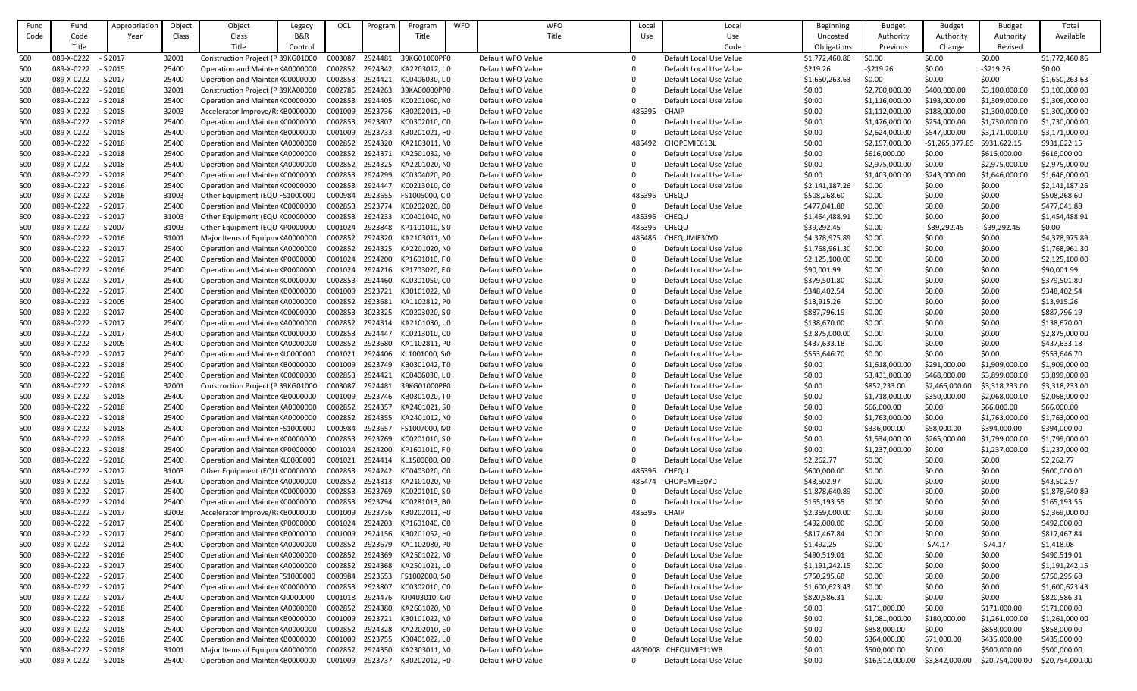| Fund       | Fund                | Appropriation | Object         | Object                            | Legacy         | OCL                | Progran | Program                         | <b>WFO</b> | <b>WFO</b>        | Local    | Local                                              | Beginning        | <b>Budget</b>                  | <b>Budget</b>    | <b>Budget</b>                  | Total                          |
|------------|---------------------|---------------|----------------|-----------------------------------|----------------|--------------------|---------|---------------------------------|------------|-------------------|----------|----------------------------------------------------|------------------|--------------------------------|------------------|--------------------------------|--------------------------------|
| Code       | Code                | Year          | Class          | Class                             | <b>B&amp;R</b> |                    |         | Title                           |            | Title             | Use      | Use                                                | Uncosted         | Authority                      | Authority        | Authority                      | Available                      |
|            | Title               |               |                | Title                             | Control        |                    |         |                                 |            |                   |          | Code                                               | Obligations      | Previous                       | Change           | Revised                        |                                |
| 500        | 089-X-0222          | $-$ S 2017    | 32001          | Construction Project (P 39KG01000 |                | C003087            | 2924481 | 39KG01000PF0                    |            | Default WFO Value | $\Omega$ | Default Local Use Value                            | \$1,772,460.86   | \$0.00                         | \$0.00           | \$0.00                         | \$1,772,460.86                 |
| 500        | 089-X-0222 - S 2015 |               | 25400          | Operation and Mainter KA0000000   |                | C002852            | 2924342 | KA2203012, LO                   |            | Default WFO Value | $\Omega$ | Default Local Use Value                            | \$219.26         | $-5219.26$                     | \$0.00           | $-5219.26$                     | \$0.00                         |
| 500        | 089-X-0222          | $-$ S 2017    | 25400          | Operation and Mainter KC0000000   |                | C002853            | 2924421 | KC0406030, LO                   |            | Default WFO Value |          | Default Local Use Value                            | \$1,650,263.63   | \$0.00                         | \$0.00           | \$0.00                         | \$1,650,263.63                 |
| 500        | 089-X-0222          | $-$ S 2018    | 32001          | Construction Project (P 39KA00000 |                | C002786            | 2924263 | 39KA00000PF0                    |            | Default WFO Value |          | Default Local Use Value                            | \$0.00           | \$2,700,000.00                 | \$400,000.00     | \$3,100,000.00                 | \$3,100,000.00                 |
| 500        | 089-X-0222          | $-$ S 2018    | 25400          | Operation and Mainter KC0000000   |                | C002853            | 2924405 | KC0201060, NO                   |            | Default WFO Value |          | Default Local Use Value                            | \$0.00           | \$1,116,000.00                 | \$193,000.00     | \$1,309,000.00                 | \$1,309,000.00                 |
| 500        | 089-X-0222          | $-$ S 2018    | 32003          | Accelerator Improve/R(KB0000000   |                | C001009            | 2923736 | KB0202011, HO                   |            | Default WFO Value | 485395   | <b>CHAIP</b>                                       | \$0.00           | \$1,112,000.00                 | \$188,000.00     | \$1,300,000.00                 | \$1,300,000.00                 |
| 500        | 089-X-0222          | $-$ S 2018    | 25400          | Operation and Mainter KC0000000   |                | C002853            | 2923807 | KC0302010, CO                   |            | Default WFO Value |          | Default Local Use Value                            | \$0.00           | \$1,476,000.00                 | \$254,000.00     | \$1,730,000.00                 | \$1,730,000.00                 |
| 500        | 089-X-0222          | $-$ S 2018    | 25400          | Operation and Mainter KB0000000   |                | C001009            | 2923733 | KB0201021, F0                   |            | Default WFO Value |          | Default Local Use Value                            | \$0.00           | \$2,624,000.00                 | \$547,000.00     | \$3,171,000.00                 | \$3,171,000.00                 |
| 500        | 089-X-0222          | $-$ S 2018    | 25400          | Operation and Mainter KA0000000   |                | C002852            | 2924320 | KA2103011, NO                   |            | Default WFO Value | 485492   | CHOPEMIE61BL                                       | \$0.00           | \$2,197,000.00                 | $-$1,265,377.85$ | \$931,622.15                   | \$931,622.15                   |
| 500        | 089-X-0222          | $-$ S 2018    | 25400          | Operation and Mainter KA0000000   |                | C002852            | 2924371 | KA2501032, NO                   |            | Default WFO Value |          | Default Local Use Value                            | \$0.00           | \$616,000.00                   | \$0.00           | \$616,000.00                   | \$616,000.00                   |
| 500        | 089-X-0222          | $-$ S 2018    | 25400          | Operation and Mainter KA0000000   |                | C002852            | 2924325 | KA2201020, NO                   |            | Default WFO Value |          | Default Local Use Value                            | \$0.00           | \$2,975,000.00                 | \$0.00           | \$2,975,000.00                 | \$2,975,000.00                 |
| 500        | 089-X-0222          | $-$ S 2018    | 25400          | Operation and Mainter KC0000000   |                | C002853            | 2924299 | KC0304020, PO                   |            | Default WFO Value |          | Default Local Use Value                            | \$0.00           | \$1,403,000.00                 | \$243,000.00     | \$1,646,000.00                 | \$1,646,000.00                 |
| 500        | 089-X-0222          | - S 2016      | 25400          | Operation and Mainter KC0000000   |                | C002853            | 2924447 | KC0213010, CO                   |            | Default WFO Value |          | Default Local Use Value                            | \$2,141,187.26   | \$0.00                         | \$0.00           | \$0.00                         | \$2,141,187.26                 |
| 500        | 089-X-0222          | $-$ S 2016    | 31003          | Other Equipment (EQU FS1000000    |                | C000984            | 2923655 | FS1005000, CO                   |            | Default WFO Value | 485396   | <b>CHEQU</b>                                       | \$508,268.60     | \$0.00                         | \$0.00           | \$0.00                         | \$508,268.60                   |
| 500        | 089-X-0222          | $-$ S 2017    | 25400          | Operation and Mainter KC0000000   |                | C002853            | 2923774 | KC0202020, LO                   |            | Default WFO Value |          | Default Local Use Value                            | \$477,041.88     | \$0.00                         | \$0.00           | \$0.00                         | \$477,041.88                   |
| 500        | 089-X-0222          | - S 2017      | 31003          | Other Equipment (EQU KC0000000    |                | C002853            | 2924233 | KC0401040, NO                   |            | Default WFO Value | 485396   | <b>CHEQU</b>                                       | \$1,454,488.91   | \$0.00                         | \$0.00           | \$0.00                         | \$1,454,488.91                 |
| 500        | 089-X-0222          | - S 2007      | 31003          | Other Equipment (EQU KP0000000    |                | C001024            | 2923848 | KP1101010, SO                   |            | Default WFO Value | 485396   | <b>CHEQU</b>                                       | \$39,292.45      | \$0.00                         | $-539,292.45$    | $-539,292.45$                  | \$0.00                         |
| 500        | 089-X-0222          | - S 2016      | 31001          | Major Items of Equipm KA0000000   |                | C002852            | 2924320 | KA2103011, NO                   |            | Default WFO Value | 485486   | CHEQUMIE30YD                                       | \$4,378,975.89   | \$0.00                         | \$0.00           | \$0.00                         | \$4,378,975.89                 |
| 500        | 089-X-0222          | - S 2017      | 25400          | Operation and Mainter KA0000000   |                | C002852            | 2924325 | KA2201020, NO                   |            | Default WFO Value |          | Default Local Use Value                            | \$1,768,961.30   | \$0.00                         | \$0.00           | \$0.00                         | \$1,768,961.30                 |
| 500        | 089-X-0222          | - S 2017      | 25400          | Operation and Mainter KP0000000   |                | C001024            | 2924200 | KP1601010, F0                   |            | Default WFO Value | - 0      | Default Local Use Value                            | \$2,125,100.00   | \$0.00                         | \$0.00           | \$0.00                         | \$2,125,100.00                 |
| 500        | 089-X-0222          | - S 2016      | 25400          | Operation and Mainter KP0000000   |                | C001024            | 2924216 | KP1703020, EO                   |            | Default WFO Value |          | Default Local Use Value                            | \$90,001.99      | \$0.00                         | \$0.00           | \$0.00                         | \$90,001.99                    |
| 500        | 089-X-0222          | $-52017$      | 25400          | Operation and Mainter KC0000000   |                | C002853            | 2924460 | KC0301050, CO                   |            | Default WFO Value |          | Default Local Use Value                            | \$379,501.80     | \$0.00                         | \$0.00           | \$0.00                         | \$379,501.80                   |
| 500        | 089-X-0222          | $-$ S 2017    | 25400          | Operation and Mainter KB0000000   |                | C001009            | 2923721 | KB0101022, NO                   |            | Default WFO Value |          | Default Local Use Value                            | \$348,402.54     | \$0.00                         | \$0.00           | \$0.00                         | \$348,402.54                   |
| 500        | 089-X-0222          | $-$ S 2005    | 25400          | Operation and Mainter KA0000000   |                | C002852            | 2923681 | KA1102812, FO                   |            | Default WFO Value |          | Default Local Use Value                            | \$13,915.26      | \$0.00                         | \$0.00           | \$0.00                         | \$13,915.26                    |
| 500        | 089-X-0222          | $-$ S 2017    | 25400          | Operation and Mainter KC0000000   |                | C002853            | 3023325 | KC0203020, SO                   |            | Default WFO Value |          | Default Local Use Value                            | \$887,796.19     | \$0.00                         | \$0.00           | \$0.00                         | \$887,796.19                   |
| 500        | 089-X-0222          | - S 2017      | 25400          | Operation and Mainter KA0000000   |                | C002852            | 2924314 | KA2101030, l0                   |            | Default WFO Value |          | Default Local Use Value                            | \$138,670.00     | \$0.00                         | \$0.00           | \$0.00                         | \$138,670.00                   |
| 500        | 089-X-0222          | - S 2017      | 25400          | Operation and Mainter KC0000000   |                | C002853            | 2924447 | KC0213010, CO                   |            | Default WFO Value |          | Default Local Use Value                            | \$2,875,000.00   | \$0.00                         | \$0.00           | \$0.00                         | \$2,875,000.00                 |
| 500        | 089-X-0222          | - S 2005      | 25400          | Operation and Mainter KA0000000   |                | C002852            | 2923680 |                                 |            | Default WFO Value |          | Default Local Use Value                            | \$437,633.18     | \$0.00                         | \$0.00           | \$0.00                         | \$437,633.18                   |
| 500        | 089-X-0222          | - S 2017      | 25400          | Operation and Mainter KL0000000   |                | C001021            | 2924406 | KA1102811, FO<br>KL1001000, SO  |            | Default WFO Value |          | Default Local Use Value                            | \$553,646.70     | \$0.00                         | \$0.00           | \$0.00                         | \$553,646.70                   |
| 500        | 089-X-0222          | $-$ S 2018    | 25400          | Operation and Mainter KB0000000   |                | C001009            | 2923749 | KB0301042, TO                   |            | Default WFO Value |          | Default Local Use Value                            |                  | \$1,618,000.00                 | \$291,000.00     | \$1,909,000.00                 | \$1,909,000.00                 |
|            | 089-X-0222          | $-$ S 2018    | 25400          | Operation and Mainter KC0000000   |                | C002853            | 2924421 | KC0406030, LO                   |            | Default WFO Value |          | Default Local Use Value                            | \$0.00<br>\$0.00 | \$3,431,000.00                 | \$468,000.00     | \$3,899,000.00                 | \$3,899,000.00                 |
| 500<br>500 | 089-X-0222          | $-$ S 2018    | 32001          | Construction Project (P 39KG01000 |                | C003087            | 2924481 | 39KG01000PF0                    |            | Default WFO Value |          | Default Local Use Value                            | \$0.00           | \$852,233.00                   | \$2,466,000.00   | \$3,318,233.00                 | \$3,318,233.00                 |
| 500        | 089-X-0222          | $-$ S 2018    | 25400          | Operation and Mainter KB0000000   |                | C001009            | 2923746 | KB0301020, TO                   |            | Default WFO Value |          | Default Local Use Value                            | \$0.00           | \$1,718,000.00                 | \$350,000.00     | \$2,068,000.00                 | \$2,068,000.00                 |
| 500        | 089-X-0222          | $-52018$      | 25400          | Operation and Mainter KA0000000   |                | C002852 2924357    |         | KA2401021, SO                   |            | Default WFO Value |          | Default Local Use Value                            | \$0.00           | \$66,000.00                    | \$0.00           | \$66,000.00                    | \$66,000.00                    |
| 500        | 089-X-0222          | $-52018$      | 25400          | Operation and Mainter KA0000000   |                | C002852            | 2924355 | KA2401012, NO                   |            | Default WFO Value |          | Default Local Use Value                            | \$0.00           | \$1,763,000.00                 | \$0.00           | \$1,763,000.00                 | \$1,763,000.00                 |
| 500        | 089-X-0222          | $-52018$      | 25400          | Operation and Mainter FS1000000   |                | C000984            | 2923657 | FS1007000, NO                   |            | Default WFO Value |          | Default Local Use Value                            | \$0.00           | \$336,000.00                   | \$58,000.00      | \$394,000.00                   | \$394,000.00                   |
| 500        | 089-X-0222          | $-52018$      | 25400          | Operation and Mainter KC0000000   |                | C002853            | 2923769 | KC0201010, SO                   |            | Default WFO Value |          | Default Local Use Value                            | \$0.00           | \$1,534,000.00                 | \$265,000.00     | \$1,799,000.00                 | \$1,799,000.00                 |
| 500        | 089-X-0222          | $-$ S 2018    | 25400          | Operation and Mainter KP0000000   |                | C001024            | 2924200 | KP1601010, FO                   |            | Default WFO Value |          | Default Local Use Value                            | \$0.00           | \$1,237,000.00                 | \$0.00           | \$1,237,000.00                 | \$1,237,000.00                 |
| 500        | 089-X-0222 - S 2016 |               | 25400          | Operation and Mainter KL0000000   |                | C001021            | 2924414 | KL1500000, CO                   |            | Default WFO Value |          | Default Local Use Value                            | \$2,262.77       | \$0.00                         | \$0.00           | \$0.00                         | \$2,262.77                     |
| 500        | 089-X-0222          | $-$ S 2017    | 31003          | Other Equipment (EQU KC0000000    |                | C002853            | 2924242 | KC0403020, CO                   |            | Default WFO Value | 485396   | <b>CHEQU</b>                                       | \$600,000.00     | \$0.00                         | \$0.00           | \$0.00                         | \$600,000.00                   |
| 500        | 089-X-0222          | - S 2015      | 25400          | Operation and Mainter KA0000000   |                | C002852            | 2924313 | KA2101020, NO                   |            | Default WFO Value | 485474   | CHOPEMIE30YD                                       | \$43,502.97      | \$0.00                         | \$0.00           | \$0.00                         | \$43,502.97                    |
| 500        | 089-X-0222 - S 2017 |               | 25400          | Operation and Mainter KC0000000   |                | C002853            | 2923769 | KC0201010, SO                   |            | Default WFO Value |          | Default Local Use Value                            | \$1,878,640.89   | \$0.00                         | \$0.00           | \$0.00                         | \$1,878,640.89                 |
| 500        | 089-X-0222          | $-$ S 2014    | 25400          | Operation and Mainter KC0000000   |                | C002853            | 2923794 | KC0281013, BO                   |            | Default WFO Value |          | Default Local Use Value                            | \$165,193.55     | \$0.00                         | \$0.00           | \$0.00                         | \$165,193.55                   |
| 500        | 089-X-0222          | - S 2017      | 32003          | Accelerator Improve/R(KB0000000   |                | C001009            | 2923736 | KB0202011, HO                   |            | Default WFO Value | 485395   | <b>CHAIP</b>                                       | \$2,369,000.00   | \$0.00                         | \$0.00           | \$0.00                         | \$2,369,000.00                 |
| 500        | 089-X-0222          | $-$ S 2017    | 25400          | Operation and Mainter KP0000000   |                | C001024            | 2924203 | KP1601040, CO                   |            | Default WFO Value |          | Default Local Use Value                            | \$492,000.00     | \$0.00                         | \$0.00           | \$0.00                         | \$492,000.00                   |
| 500        | 089-X-0222          | - S 2017      | 25400          | Operation and Mainter KB0000000   |                | C001009            | 2924156 | KB0201052, + 0                  |            | Default WFO Value |          | Default Local Use Value                            | \$817,467.84     | \$0.00                         | \$0.00           | \$0.00                         | \$817,467.84                   |
| 500        | 089-X-0222          | $-$ S 2012    | 25400          | Operation and Mainter KA0000000   |                | C002852            | 2923679 | KA1102080, FO                   |            | Default WFO Value |          | Default Local Use Value                            | \$1,492.25       | \$0.00                         | -\$74.17         | $-574.17$                      | \$1,418.08                     |
| 500        | 089-X-0222          | $-$ S 2016    | 25400          | Operation and Mainter KA0000000   |                | C002852            | 2924369 | KA2501022, NO                   |            | Default WFO Value |          | Default Local Use Value                            | \$490,519.01     | \$0.00                         | \$0.00           | \$0.00                         | \$490,519.01                   |
| 500        | 089-X-0222          | - S 2017      | 25400          | Operation and Mainter KA0000000   |                | C002852            | 2924368 | KA2501021, LO                   |            | Default WFO Value |          | Default Local Use Value                            | \$1,191,242.15   | \$0.00                         | \$0.00           | \$0.00                         | \$1,191,242.15                 |
| 500        | 089-X-0222          | $-$ S 2017    | 25400          | Operation and Mainter FS1000000   |                | C000984            | 2923653 | FS1002000, S 0                  |            | Default WFO Value |          | Default Local Use Value                            | \$750,295.68     | \$0.00                         | \$0.00           | \$0.00                         | \$750,295.68                   |
| 500        | 089-X-0222          | - S 2017      | 25400          | Operation and Mainter KC0000000   |                | C002853            | 2923807 | KC0302010, CO                   |            | Default WFO Value |          | Default Local Use Value                            | \$1,600,623.43   | \$0.00                         | \$0.00           | \$0.00                         | \$1,600,623.43                 |
|            | 089-X-0222          | - S 2017      | 25400          | Operation and Mainter KJ0000000   |                |                    | 2924476 |                                 |            | Default WFO Value |          | Default Local Use Value                            |                  | \$0.00                         | \$0.00           | \$0.00                         | \$820,586.31                   |
| 500<br>500 | 089-X-0222          | $-$ S 2018    | 25400          | Operation and Mainter KA0000000   |                | C001018<br>C002852 | 2924380 | KJ0403010, C 0<br>KA2601020, NO |            | Default WFO Value |          |                                                    | \$820,586.31     |                                | \$0.00           |                                | \$171,000.00                   |
|            | 089-X-0222          | $-$ S 2018    | 25400          | Operation and Mainter KB0000000   |                | C001009            | 2923721 | KB0101022, NO                   |            | Default WFO Value |          | Default Local Use Value<br>Default Local Use Value | \$0.00<br>\$0.00 | \$171,000.00<br>\$1,081,000.00 | \$180,000.00     | \$171,000.00                   |                                |
| 500        | 089-X-0222          | $-52018$      | 25400          | Operation and Mainter KA0000000   |                | C002852            | 2924328 | KA2202010, EO                   |            | Default WFO Value |          | Default Local Use Value                            |                  | \$858,000.00                   | \$0.00           | \$1,261,000.00<br>\$858,000.00 | \$1,261,000.00<br>\$858,000.00 |
| 500        | 089-X-0222          | $-52018$      | 25400          |                                   |                | C001009            | 2923755 | KB0401022, LO                   |            | Default WFO Value |          |                                                    | \$0.00           |                                |                  |                                |                                |
| 500        |                     | - S 2018      |                | Operation and Mainter KB0000000   |                |                    | 2924350 |                                 |            | Default WFO Value |          | Default Local Use Value                            | \$0.00           | \$364,000.00                   | \$71,000.00      | \$435,000.00                   | \$435,000.00                   |
| 500        | 089-X-0222          |               | 31001<br>25400 | Major Items of Equipm KA0000000   |                | C002852            |         | KA2303011, NO                   |            |                   | 4809008  | CHEQUMIE11WB                                       | \$0.00           | \$500,000.00                   | \$0.00           | \$500,000.00                   | \$500,000.00                   |
| 500        | 089-X-0222 - S 2018 |               |                | Operation and Mainter KB0000000   |                | C001009            | 2923737 | KB0202012, +0                   |            | Default WFO Value |          | Default Local Use Value                            | \$0.00           | \$16,912,000.00                | \$3,842,000.00   | \$20,754,000.00                | \$20,754,000.00                |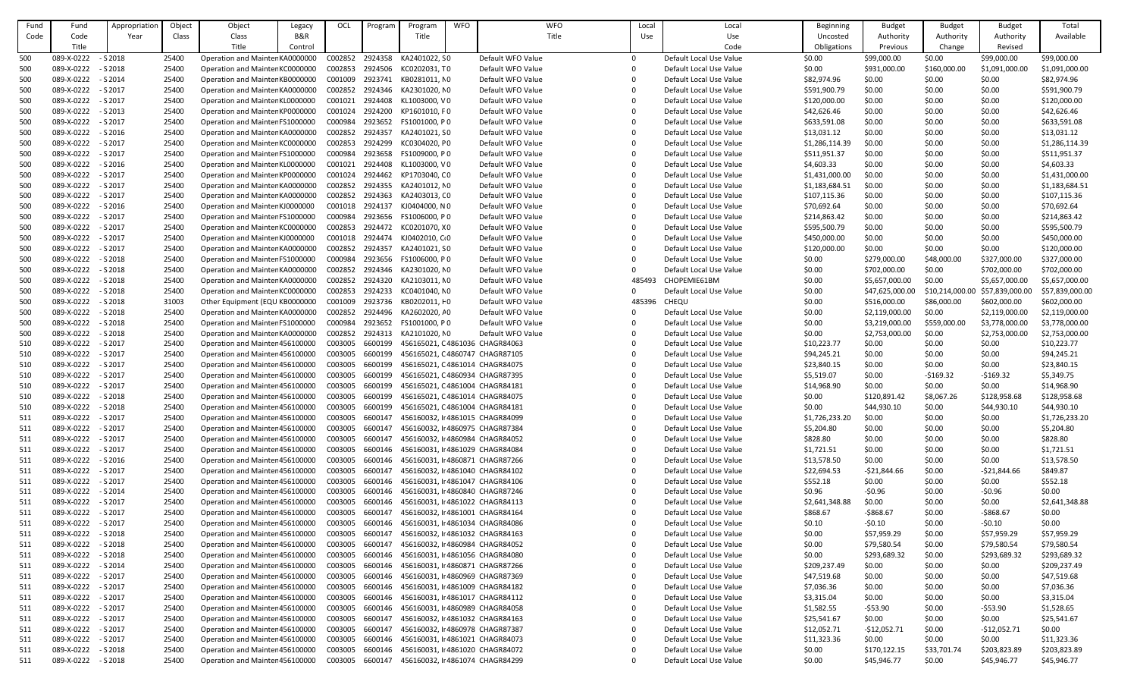| Fund | Fund                | Appropriation | Object | Object                          | Legacy | OCL             | Program | Program                          | <b>WFO</b> | <b>WFO</b>        | Local    | Local                   | Beginning          | <b>Budget</b>   | <b>Budget</b>   | <b>Budget</b>   | Total           |
|------|---------------------|---------------|--------|---------------------------------|--------|-----------------|---------|----------------------------------|------------|-------------------|----------|-------------------------|--------------------|-----------------|-----------------|-----------------|-----------------|
| Code | Code                | Year          | Class  | Class                           | B&R    |                 |         | Title                            |            | Title             | Use      | Use                     | Uncosted           | Authority       | Authority       | Authority       | Available       |
|      | Title               |               |        | Title                           | Contro |                 |         |                                  |            |                   |          | Code                    | <b>Obligations</b> | Previous        | Change          | Revised         |                 |
| 500  | 089-X-0222          | $- S 2018$    | 25400  | Operation and Mainter KA0000000 |        | C002852         | 2924358 | KA2401022, SO                    |            | Default WFO Value | $\Omega$ | Default Local Use Value | \$0.00             | \$99,000.00     | \$0.00          | \$99,000.00     | \$99,000.00     |
| 500  | 089-X-0222          | $-$ S 2018    | 25400  | Operation and Mainter KC0000000 |        | C002853         | 2924506 | KC0202031, TO                    |            | Default WFO Value | $\Omega$ | Default Local Use Value | \$0.00             | \$931,000.00    | \$160,000.00    | \$1,091,000.00  | \$1,091,000.00  |
| 500  | 089-X-0222          | $-$ S 2014    | 25400  | Operation and Mainter KB0000000 |        | C001009         | 2923741 | KB0281011, NO                    |            | Default WFO Value |          | Default Local Use Value | \$82,974.96        | \$0.00          | \$0.00          | \$0.00          | \$82,974.96     |
| 500  | 089-X-0222          | - S 2017      | 25400  | Operation and Mainter KA0000000 |        | C002852         | 2924346 | KA2301020, NO                    |            | Default WFO Value |          | Default Local Use Value | \$591,900.79       | \$0.00          | \$0.00          | \$0.00          | \$591,900.79    |
| 500  | 089-X-0222          | $-$ S 2017    | 25400  | Operation and Mainter KL0000000 |        | C001021         | 2924408 | KL1003000, VO                    |            | Default WFO Value | $\Omega$ | Default Local Use Value | \$120,000.00       | \$0.00          | \$0.00          | \$0.00          | \$120,000.00    |
| 500  | 089-X-0222          | $- S 2013$    | 25400  | Operation and Mainter KP0000000 |        | C001024         | 2924200 | KP1601010, FO                    |            | Default WFO Value |          | Default Local Use Value | \$42,626.46        | \$0.00          | \$0.00          | \$0.00          | \$42,626.46     |
| 500  | 089-X-0222          | - S 2017      | 25400  | Operation and Mainter FS1000000 |        | C000984         | 2923652 | FS1001000, PO                    |            | Default WFO Value | $\Omega$ | Default Local Use Value | \$633,591.08       | \$0.00          | \$0.00          | \$0.00          | \$633,591.08    |
| 500  | 089-X-0222          | $-$ S 2016    | 25400  | Operation and Mainter KA0000000 |        | C002852         | 2924357 | KA2401021, SO                    |            | Default WFO Value |          | Default Local Use Value | \$13,031.12        | \$0.00          | \$0.00          | \$0.00          | \$13,031.12     |
| 500  | 089-X-0222          | - S 2017      | 25400  | Operation and Mainter KC0000000 |        | C002853         | 2924299 | KC0304020, PO                    |            | Default WFO Value |          | Default Local Use Value | \$1,286,114.39     | \$0.00          | \$0.00          | \$0.00          | \$1,286,114.39  |
|      | 089-X-0222          |               |        |                                 |        |                 |         |                                  |            | Default WFO Value |          |                         |                    |                 |                 |                 |                 |
| 500  |                     | - S 2017      | 25400  | Operation and Mainter FS1000000 |        | C000984         | 2923658 | FS1009000, PO                    |            |                   |          | Default Local Use Value | \$511,951.37       | \$0.00          | \$0.00          | \$0.00          | \$511,951.37    |
| 500  | 089-X-0222          | $-$ S 2016    | 25400  | Operation and Mainter KL0000000 |        | C001021         | 2924408 | KL1003000, VO                    |            | Default WFO Value |          | Default Local Use Value | \$4,603.33         | \$0.00          | \$0.00          | \$0.00          | \$4,603.33      |
| 500  | 089-X-0222          | - S 2017      | 25400  | Operation and Mainter KP0000000 |        | C001024         | 2924462 | KP1703040, CO                    |            | Default WFO Value |          | Default Local Use Value | \$1,431,000.00     | \$0.00          | \$0.00          | \$0.00          | \$1,431,000.00  |
| 500  | 089-X-0222          | - S 2017      | 25400  | Operation and Mainter KA0000000 |        | C002852         | 2924355 | KA2401012, NO                    |            | Default WFO Value |          | Default Local Use Value | \$1,183,684.51     | \$0.00          | \$0.00          | \$0.00          | \$1,183,684.51  |
| 500  | 089-X-0222          | - S 2017      | 25400  | Operation and Mainter KA0000000 |        | C002852         | 2924363 | KA2403013, CO                    |            | Default WFO Value |          | Default Local Use Value | \$107,115.36       | \$0.00          | \$0.00          | \$0.00          | \$107,115.36    |
| 500  | 089-X-0222          | $-$ S 2016    | 25400  | Operation and Mainter KJ0000000 |        | C001018         | 2924137 | KJ0404000, NO                    |            | Default WFO Value |          | Default Local Use Value | \$70,692.64        | \$0.00          | \$0.00          | \$0.00          | \$70,692.64     |
| 500  | 089-X-0222          | $-$ S 2017    | 25400  | Operation and Mainter FS1000000 |        | C000984         | 2923656 | FS1006000, PO                    |            | Default WFO Value |          | Default Local Use Value | \$214,863.42       | \$0.00          | \$0.00          | \$0.00          | \$214,863.42    |
| 500  | 089-X-0222          | $-$ S 2017    | 25400  | Operation and Mainter KC0000000 |        | C002853         | 2924472 | KC0201070, XO                    |            | Default WFO Value |          | Default Local Use Value | \$595,500.79       | \$0.00          | \$0.00          | \$0.00          | \$595,500.79    |
| 500  | 089-X-0222          | $-$ S 2017    | 25400  | Operation and Mainter KJ0000000 |        | C001018         | 2924474 | KJ0402010, C <sub>0</sub>        |            | Default WFO Value |          | Default Local Use Value | \$450,000.00       | \$0.00          | \$0.00          | \$0.00          | \$450,000.00    |
| 500  | 089-X-0222          | - S 2017      | 25400  | Operation and Mainter KA0000000 |        | C002852         | 2924357 | KA2401021, SO                    |            | Default WFO Value |          | Default Local Use Value | \$120,000.00       | \$0.00          | \$0.00          | \$0.00          | \$120,000.00    |
| 500  | 089-X-0222          | $-$ S 2018    | 25400  | Operation and Mainter FS1000000 |        | C000984         | 2923656 | FS1006000, PO                    |            | Default WFO Value | $\Omega$ | Default Local Use Value | \$0.00             | \$279,000.00    | \$48,000.00     | \$327,000.00    | \$327,000.00    |
| 500  | 089-X-0222          | $- S 2018$    | 25400  | Operation and Mainter KA0000000 |        | C002852         | 2924346 | KA2301020, NO                    |            | Default WFO Value |          | Default Local Use Value | \$0.00             | \$702,000.00    | \$0.00          | \$702,000.00    | \$702,000.00    |
| 500  | 089-X-0222          | $-$ S 2018    | 25400  | Operation and Mainter KA0000000 |        | C002852         | 2924320 | KA2103011, NO                    |            | Default WFO Value | 485493   | CHOPEMIE61BM            | \$0.00             | \$5,657,000.00  | \$0.00          | \$5,657,000.00  | \$5,657,000.00  |
| 500  | 089-X-0222          | $-$ S 2018    | 25400  | Operation and Mainter KC0000000 |        | C002853         | 2924233 | KC0401040, NO                    |            | Default WFO Value |          | Default Local Use Value | \$0.00             | \$47,625,000.00 | \$10,214,000.00 | \$57,839,000.00 | \$57,839,000.00 |
| 500  | 089-X-0222          | $-$ S 2018    | 31003  | Other Equipment (EQU KB0000000  |        | C001009         | 2923736 | KB0202011, HO                    |            | Default WFO Value | 485396   | CHEQU                   | \$0.00             | \$516,000.00    | \$86,000.00     | \$602,000.00    | \$602,000.00    |
| 500  | 089-X-0222          | $-$ S 2018    | 25400  | Operation and Mainter KA0000000 |        | C002852         | 2924496 | KA2602020, <i>I</i> 0            |            | Default WFO Value | $\Omega$ | Default Local Use Value | \$0.00             | \$2,119,000.00  | \$0.00          | \$2,119,000.00  | \$2,119,000.00  |
| 500  | 089-X-0222          | $- S 2018$    | 25400  | Operation and Mainter FS1000000 |        | C000984         | 2923652 | FS1001000, PO                    |            | Default WFO Value |          | Default Local Use Value | \$0.00             | \$3,219,000.00  | \$559,000.00    | \$3,778,000.00  | \$3,778,000.00  |
| 500  | 089-X-0222          | $-$ S 2018    | 25400  | Operation and Mainter KA0000000 |        | C002852         | 2924313 | KA2101020, NO                    |            | Default WFO Value |          | Default Local Use Value | \$0.00             | \$2,753,000.00  | \$0.00          | \$2,753,000.00  | \$2,753,000.00  |
| 510  | 089-X-0222          | - S 2017      | 25400  | Operation and Mainter 456100000 |        | C003005         | 6600199 | 456165021, C4861036 CHAGR84063   |            |                   | 0        | Default Local Use Value | \$10,223.77        | \$0.00          | \$0.00          | \$0.00          | \$10,223.77     |
| 510  | 089-X-0222          | - S 2017      | 25400  | Operation and Mainter 456100000 |        | C003005         | 6600199 | 456165021, C4860747 CHAGR87105   |            |                   |          | Default Local Use Value | \$94,245.21        | \$0.00          | \$0.00          | \$0.00          | \$94,245.21     |
| 510  | 089-X-0222          | $-52017$      | 25400  | Operation and Mainter 456100000 |        | C003005 6600199 |         | 456165021, C4861014 CHAGR84075   |            |                   |          | Default Local Use Value | \$23,840.15        | \$0.00          | \$0.00          | \$0.00          | \$23,840.15     |
| 510  | 089-X-0222          | $-$ S 2017    | 25400  | Operation and Mainter 456100000 |        | C003005         | 6600199 | 456165021, C4860934 CHAGR87395   |            |                   |          | Default Local Use Value | \$5,519.07         | \$0.00          | $-5169.32$      | $-$169.32$      | \$5,349.75      |
| 510  | 089-X-0222          | - S 2017      | 25400  | Operation and Mainter 456100000 |        | C003005         | 6600199 | 456165021, C4861004 CHAGR84181   |            |                   |          | Default Local Use Value | \$14,968.90        | \$0.00          | \$0.00          | \$0.00          | \$14,968.90     |
| 510  | 089-X-0222          | $-$ S 2018    | 25400  | Operation and Mainter 456100000 |        | C003005         | 6600199 | 456165021, C4861014 CHAGR84075   |            |                   |          | Default Local Use Value | \$0.00             | \$120,891.42    | \$8,067.26      | \$128,958.68    | \$128,958.68    |
| 510  | 089-X-0222          | $-52018$      | 25400  | Operation and Mainter 456100000 |        | C003005         | 6600199 | 456165021, C4861004 CHAGR84181   |            |                   |          | Default Local Use Value | \$0.00             | \$44,930.10     | \$0.00          | \$44,930.10     | \$44,930.10     |
| 511  | 089-X-0222          | $-$ S 2017    | 25400  | Operation and Mainter 456100000 |        | C003005         | 6600147 | 456160032, Ir 4861015 CHAGR84099 |            |                   |          | Default Local Use Value | \$1,726,233.20     | \$0.00          | \$0.00          | \$0.00          | \$1,726,233.20  |
| 511  | 089-X-0222          | - S 2017      | 25400  | Operation and Mainter 456100000 |        | C003005         | 6600147 | 456160032, Ir 4860975 CHAGR87384 |            |                   |          | Default Local Use Value | \$5,204.80         | \$0.00          | \$0.00          | \$0.00          | \$5,204.80      |
| 511  | 089-X-0222          | - S 2017      | 25400  | Operation and Mainter 456100000 |        | C003005         | 6600147 | 456160032, Ir4860984 CHAGR84052  |            |                   |          | Default Local Use Value | \$828.80           | \$0.00          | \$0.00          | \$0.00          | \$828.80        |
| 511  | 089-X-0222          | $-$ S 2017    | 25400  | Operation and Mainter 456100000 |        | C003005         | 6600146 | 456160031, Ir4861029 CHAGR84084  |            |                   |          | Default Local Use Value | \$1,721.51         | \$0.00          | \$0.00          | \$0.00          | \$1,721.51      |
| 511  | 089-X-0222          | $-52016$      | 25400  | Operation and Mainter 456100000 |        | C003005         | 6600146 | 456160031, Ir4860871 CHAGR87266  |            |                   |          | Default Local Use Value | \$13,578.50        | \$0.00          | \$0.00          | \$0.00          | \$13,578.50     |
| 511  | 089-X-0222          | $-$ S 2017    | 25400  | Operation and Mainter 456100000 |        | C003005         | 6600147 | 456160032, Ir 4861040 CHAGR84102 |            |                   |          | Default Local Use Value | \$22,694.53        | $-521,844.66$   | \$0.00          | $-521,844.66$   | \$849.87        |
| 511  | 089-X-0222          | $-$ S 2017    | 25400  | Operation and Mainter 456100000 |        | C003005         | 6600146 | 456160031, lr 4861047 CHAGR84106 |            |                   |          | Default Local Use Value | \$552.18           | \$0.00          | \$0.00          | \$0.00          | \$552.18        |
| 511  | 089-X-0222          | - S 2014      | 25400  | Operation and Mainter 456100000 |        | C003005         | 6600146 | 456160031, Ir 4860840 CHAGR87246 |            |                   |          | Default Local Use Value | \$0.96             | $-50.96$        | \$0.00          | $-50.96$        | \$0.00          |
| 511  | 089-X-0222          | $-$ S 2017    | 25400  | Operation and Mainter 456100000 |        | C003005         | 6600146 | 456160031, Ir4861022 CHAGR84113  |            |                   |          | Default Local Use Value | \$2,641,348.88     | \$0.00          | \$0.00          | \$0.00          | \$2,641,348.88  |
| 511  | 089-X-0222 - S 2017 |               | 25400  | Operation and Mainter 456100000 |        | C003005         | 6600147 | 456160032, lr 4861001 CHAGR84164 |            |                   |          | Default Local Use Value | \$868.67           | $-5868.67$      | \$0.00          | $-5868.67$      | \$0.00          |
| 511  | 089-X-0222 - S 2017 |               | 25400  | Operation and Mainter 456100000 |        | C003005 6600146 |         | 456160031, lr 4861034 CHAGR84086 |            |                   | 0        | Default Local Use Value | \$0.10             | $-50.10$        | \$0.00          | $-50.10$        | \$0.00          |
| 511  | 089-X-0222          | $-52018$      | 25400  | Operation and Mainter 456100000 |        | C003005         | 6600147 | 456160032, lr 4861032 CHAGR84163 |            |                   |          | Default Local Use Value | \$0.00             | \$57,959.29     | \$0.00          | \$57,959.29     | \$57,959.29     |
| 511  | 089-X-0222          | $-$ S 2018    | 25400  | Operation and Mainter 456100000 |        | C003005         | 6600147 | 456160032, Ir 4860984 CHAGR84052 |            |                   |          | Default Local Use Value | \$0.00             | \$79,580.54     | \$0.00          | \$79,580.54     | \$79,580.54     |
| 511  | 089-X-0222          | $-$ S 2018    | 25400  | Operation and Mainter 456100000 |        | C003005         | 6600146 | 456160031, lr 4861056 CHAGR84080 |            |                   |          | Default Local Use Value | \$0.00             | \$293,689.32    | \$0.00          | \$293,689.32    | \$293,689.32    |
| 511  | 089-X-0222          | $-$ S 2014    | 25400  | Operation and Mainter 456100000 |        | C003005         | 6600146 | 456160031, Ir4860871 CHAGR87266  |            |                   |          | Default Local Use Value | \$209,237.49       | \$0.00          | \$0.00          | \$0.00          | \$209,237.49    |
| 511  | 089-X-0222          | $-$ S 2017    | 25400  | Operation and Mainter 456100000 |        | C003005         | 6600146 | 456160031, Ir4860969 CHAGR87369  |            |                   |          | Default Local Use Value | \$47,519.68        | \$0.00          | \$0.00          | \$0.00          | \$47,519.68     |
| 511  | 089-X-0222          | $-$ S 2017    | 25400  | Operation and Mainter 456100000 |        | C003005         | 6600146 | 456160031, Ir 4861009 CHAGR84182 |            |                   |          | Default Local Use Value | \$7,036.36         | \$0.00          | \$0.00          | \$0.00          | \$7,036.36      |
|      | 089-X-0222          | - S 2017      | 25400  | Operation and Mainter 456100000 |        | C003005         | 6600146 | 456160031, Ir4861017 CHAGR84112  |            |                   |          | Default Local Use Value | \$3,315.04         | \$0.00          | \$0.00          | \$0.00          | \$3,315.04      |
| 511  | 089-X-0222          | - S 2017      | 25400  | Operation and Mainter 456100000 |        | C003005         | 6600146 | 456160031, Ir 4860989 CHAGR84058 |            |                   |          | Default Local Use Value | \$1,582.55         | $-553.90$       | \$0.00          | $-$ \$53.90     | \$1,528.65      |
| 511  | 089-X-0222          | - S 2017      | 25400  | Operation and Mainter 456100000 |        | C003005         | 6600147 | 456160032, Ir 4861032 CHAGR84163 |            |                   |          | Default Local Use Value | \$25,541.67        | \$0.00          | \$0.00          | \$0.00          | \$25,541.67     |
| 511  |                     |               |        |                                 |        |                 |         |                                  |            |                   |          |                         |                    |                 |                 |                 |                 |
| 511  | 089-X-0222          | - S 2017      | 25400  | Operation and Mainter 456100000 |        | C003005         | 6600147 | 456160032, Ir 4860978 CHAGR87387 |            |                   |          | Default Local Use Value | \$12,052.71        | $-$12,052.71$   | \$0.00          | $-$12,052.71$   | \$0.00          |
| 511  | 089-X-0222          | - S 2017      | 25400  | Operation and Mainter 456100000 |        | C003005         | 6600146 | 456160031, Ir4861021 CHAGR84073  |            |                   |          | Default Local Use Value | \$11,323.36        | \$0.00          | \$0.00          | \$0.00          | \$11,323.36     |
| 511  | 089-X-0222          | $-$ S 2018    | 25400  | Operation and Mainter 456100000 |        | C003005         | 6600146 | 456160031, lr 4861020 CHAGR84072 |            |                   |          | Default Local Use Value | \$0.00             | \$170,122.15    | \$33,701.74     | \$203,823.89    | \$203,823.89    |
| 511  | 089-X-0222 - S 2018 |               | 25400  | Operation and Mainter 456100000 |        | C003005         | 6600147 | 456160032, Ir 4861074 CHAGR84299 |            |                   |          | Default Local Use Value | \$0.00             | \$45,946.77     | \$0.00          | \$45,946.77     | \$45,946.77     |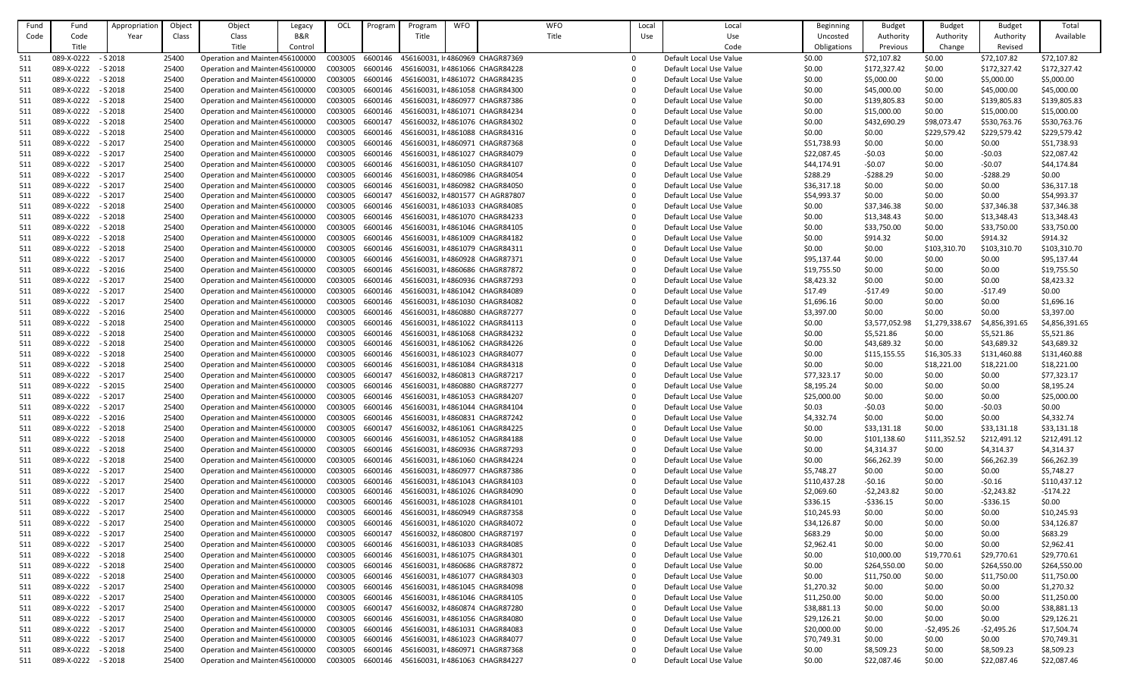| Fund | Fund       | Appropriation | Object | Object                          | Legacy         | OCL     | Program | Program                                  | <b>WFO</b> | <b>WFO</b>                       | Local | Local                   | Beginning          | <b>Budget</b>  | <b>Budget</b>  | <b>Budget</b>  | Total          |
|------|------------|---------------|--------|---------------------------------|----------------|---------|---------|------------------------------------------|------------|----------------------------------|-------|-------------------------|--------------------|----------------|----------------|----------------|----------------|
| Code | Code       | Year          | Class  | Class                           | <b>B&amp;R</b> |         |         | Title                                    |            | Title                            | Use   | Use                     | Uncosted           | Authority      | Authority      | Authority      | Available      |
|      | Title      |               |        | Title                           | Control        |         |         |                                          |            |                                  |       | Code                    | <b>Obligations</b> | Previous       | Change         | Revised        |                |
| 511  | 089-X-0222 | $- S 2018$    | 25400  | Operation and Mainter 456100000 |                | C003005 | 6600146 |                                          |            | 456160031, Ir 4860969 CHAGR87369 |       | Default Local Use Value | \$0.00             | \$72,107.82    | \$0.00         | \$72,107.82    | \$72,107.82    |
| 511  | 089-X-0222 | $-$ S 2018    | 25400  | Operation and Mainter 456100000 |                | C003005 | 6600146 |                                          |            | 456160031, lr 4861066 CHAGR84228 |       | Default Local Use Value | \$0.00             | \$172,327.42   | \$0.00         | \$172,327.42   | \$172,327.42   |
| 511  | 089-X-0222 | $- S 2018$    | 25400  | Operation and Mainter 456100000 |                | C003005 | 6600146 |                                          |            | 456160031, lr 4861072 CHAGR84235 |       | Default Local Use Value | \$0.00             | \$5,000.00     | \$0.00         | \$5,000.00     | \$5,000.00     |
| 511  | 089-X-0222 | $- S 2018$    | 25400  | Operation and Mainter 456100000 |                | C003005 | 6600146 |                                          |            | 456160031, lr 4861058 CHAGR84300 |       | Default Local Use Value | \$0.00             | \$45,000.00    | \$0.00         | \$45,000.00    | \$45,000.00    |
| 511  | 089-X-0222 | $- S 2018$    | 25400  | Operation and Mainter 456100000 |                | C003005 | 6600146 |                                          |            | 456160031, Ir 4860977 CHAGR87386 |       | Default Local Use Value | \$0.00             | \$139,805.83   | \$0.00         | \$139,805.83   | \$139,805.83   |
| 511  | 089-X-0222 | $-$ S 2018    | 25400  | Operation and Mainter 456100000 |                | C003005 | 6600146 |                                          |            | 456160031, lr 4861071 CHAGR84234 |       | Default Local Use Value | \$0.00             | \$15,000.00    | \$0.00         | \$15,000.00    | \$15,000.00    |
|      | 089-X-0222 | $-$ S 2018    | 25400  | Operation and Mainter 456100000 |                | C003005 | 6600147 |                                          |            | 456160032, lt 4861076 CHAGR84302 |       | Default Local Use Value | \$0.00             | \$432,690.29   | \$98,073.47    | \$530,763.76   | \$530,763.76   |
| 511  |            |               |        |                                 |                |         |         |                                          |            |                                  |       |                         |                    |                |                |                |                |
| 511  | 089-X-0222 | $- S 2018$    | 25400  | Operation and Mainter 456100000 |                | C003005 | 6600146 |                                          |            | 456160031, lr 4861088 CHAGR84316 |       | Default Local Use Value | \$0.00             | \$0.00         | \$229,579.42   | \$229,579.42   | \$229,579.42   |
| 511  | 089-X-0222 | - S 2017      | 25400  | Operation and Mainter 456100000 |                | C003005 | 6600146 |                                          |            | 456160031, Ir 4860971 CHAGR87368 |       | Default Local Use Value | \$51,738.93        | \$0.00         | \$0.00         | \$0.00         | \$51,738.93    |
| 511  | 089-X-0222 | $-$ S 2017    | 25400  | Operation and Mainter 456100000 |                | C003005 | 6600146 |                                          |            | 456160031, li 4861027 CHAGR84079 |       | Default Local Use Value | \$22,087.45        | $-50.03$       | \$0.00         | $-50.03$       | \$22,087.42    |
| 511  | 089-X-0222 | $-$ S 2017    | 25400  | Operation and Mainter 456100000 |                | C003005 | 6600146 |                                          |            | 456160031, Ir 4861050 CHAGR84107 |       | Default Local Use Value | \$44,174.91        | $-50.07$       | \$0.00         | $-50.07$       | \$44,174.84    |
| 511  | 089-X-0222 | $-$ S 2017    | 25400  | Operation and Mainter 456100000 |                | C003005 | 6600146 |                                          |            | 456160031, lr 4860986 CHAGR84054 |       | Default Local Use Value | \$288.29           | $-5288.29$     | \$0.00         | $-5288.29$     | \$0.00         |
| 511  | 089-X-0222 | $-$ S 2017    | 25400  | Operation and Mainter 456100000 |                | C003005 | 6600146 |                                          |            | 456160031, lr 4860982 CHAGR84050 |       | Default Local Use Value | \$36,317.18        | \$0.00         | \$0.00         | \$0.00         | \$36,317.18    |
| 511  | 089-X-0222 | $-$ S 2017    | 25400  | Operation and Mainter 456100000 |                | C003005 | 6600147 |                                          |            | 456160032, Ir4801577 CH AGR87807 |       | Default Local Use Value | \$54,993.37        | \$0.00         | \$0.00         | \$0.00         | \$54,993.37    |
| 511  | 089-X-0222 | $-$ S 2018    | 25400  | Operation and Mainter 456100000 |                | C003005 | 6600146 |                                          |            | 456160031, lr 4861033 CHAGR84085 |       | Default Local Use Value | \$0.00             | \$37,346.38    | \$0.00         | \$37,346.38    | \$37,346.38    |
| 511  | 089-X-0222 | $- S 2018$    | 25400  | Operation and Mainter 456100000 |                | C003005 | 6600146 |                                          |            | 456160031, Ir 4861070 CHAGR84233 |       | Default Local Use Value | \$0.00             | \$13,348.43    | \$0.00         | \$13,348.43    | \$13,348.43    |
| 511  | 089-X-0222 | $-$ S 2018    | 25400  | Operation and Mainter 456100000 |                | C003005 | 6600146 |                                          |            | 456160031, lr 4861046 CHAGR84105 |       | Default Local Use Value | \$0.00             | \$33,750.00    | \$0.00         | \$33,750.00    | \$33,750.00    |
| 511  | 089-X-0222 | $- S 2018$    | 25400  | Operation and Mainter 456100000 |                | C003005 | 6600146 |                                          |            | 456160031, lr 4861009 CHAGR84182 |       | Default Local Use Value | \$0.00             | \$914.32       | \$0.00         | \$914.32       | \$914.32       |
| 511  | 089-X-0222 | $- S 2018$    | 25400  | Operation and Mainter 456100000 |                | C003005 | 6600146 |                                          |            | 456160031, lr 4861079 CHAGR84311 |       | Default Local Use Value | \$0.00             | \$0.00         | \$103,310.70   | \$103,310.70   | \$103,310.70   |
| 511  | 089-X-0222 | $-$ S 2017    | 25400  | Operation and Mainter 456100000 |                | C003005 | 6600146 |                                          |            | 456160031, Ir4860928 CHAGR87371  |       | Default Local Use Value | \$95,137.44        | \$0.00         | \$0.00         | \$0.00         | \$95,137.44    |
| 511  | 089-X-0222 | $-$ S 2016    | 25400  | Operation and Mainter 456100000 |                | C003005 | 6600146 |                                          |            | 456160031, lr 4860686 CHAGR87872 |       | Default Local Use Value | \$19,755.50        | \$0.00         | \$0.00         | \$0.00         | \$19,755.50    |
| 511  | 089-X-0222 | $-$ S 2017    | 25400  | Operation and Mainter 456100000 |                | C003005 | 6600146 |                                          |            | 456160031, Ir4860936 CHAGR87293  |       | Default Local Use Value | \$8,423.32         | \$0.00         | \$0.00         | \$0.00         | \$8,423.32     |
| 511  | 089-X-0222 | $-$ S 2017    | 25400  | Operation and Mainter 456100000 |                | C003005 | 6600146 |                                          |            | 456160031, lr 4861042 CHAGR84089 |       | Default Local Use Value | \$17.49            | $-517.49$      | \$0.00         | $-517.49$      | \$0.00         |
| 511  | 089-X-0222 | $-$ S 2017    | 25400  | Operation and Mainter 456100000 |                | C003005 | 6600146 |                                          |            | 456160031, Ir 4861030 CHAGR84082 |       | Default Local Use Value | \$1,696.16         | \$0.00         | \$0.00         | \$0.00         | \$1,696.16     |
| 511  | 089-X-0222 | $- S 2016$    | 25400  | Operation and Mainter 456100000 |                | C003005 | 6600146 |                                          |            | 456160031, Ir4860880 CHAGR87277  |       | Default Local Use Value | \$3,397.00         | \$0.00         | \$0.00         | \$0.00         | \$3,397.00     |
| 511  | 089-X-0222 | $-$ S 2018    | 25400  | Operation and Mainter 456100000 |                | C003005 | 6600146 |                                          |            | 456160031, lr 4861022 CHAGR84113 |       | Default Local Use Value | \$0.00             | \$3,577,052.98 | \$1,279,338.67 | \$4,856,391.65 | \$4,856,391.65 |
| 511  | 089-X-0222 | $-52018$      | 25400  | Operation and Mainter 456100000 |                | C003005 | 6600146 |                                          |            | 456160031, Ir 4861068 CHAGR84232 |       | Default Local Use Value | \$0.00             | \$5,521.86     | \$0.00         | \$5,521.86     | \$5,521.86     |
| 511  | 089-X-0222 | $- S 2018$    | 25400  | Operation and Mainter 456100000 |                | C003005 | 6600146 |                                          |            | 456160031, li 4861062 CHAGR84226 |       | Default Local Use Value | \$0.00             | \$43,689.32    | \$0.00         | \$43,689.32    | \$43,689.32    |
| 511  | 089-X-0222 | $-$ S 2018    | 25400  | Operation and Mainter 456100000 |                | C003005 | 6600146 |                                          |            | 456160031, Ir4861023 CHAGR84077  |       | Default Local Use Value | \$0.00             | \$115,155.55   | \$16,305.33    | \$131,460.88   | \$131,460.88   |
| 511  | 089-X-0222 | $-$ S 2018    | 25400  | Operation and Mainter 456100000 |                | C003005 | 6600146 |                                          |            | 456160031, lr 4861084 CHAGR84318 |       | Default Local Use Value | \$0.00             | \$0.00         | \$18,221.00    | \$18,221.00    | \$18,221.00    |
| 511  | 089-X-0222 | $-$ S 2017    | 25400  | Operation and Mainter 456100000 |                | C003005 | 6600147 |                                          |            | 456160032, li 4860813 CHAGR87217 |       | Default Local Use Value | \$77,323.17        | \$0.00         | \$0.00         | \$0.00         | \$77,323.17    |
| 511  | 089-X-0222 | $-$ S 2015    | 25400  | Operation and Mainter 456100000 |                | C003005 | 6600146 |                                          |            | 456160031, Ir4860880 CHAGR87277  |       | Default Local Use Value | \$8,195.24         | \$0.00         | \$0.00         | \$0.00         | \$8,195.24     |
|      |            |               |        |                                 |                |         |         |                                          |            |                                  |       |                         |                    |                |                |                |                |
| 511  | 089-X-0222 | $-$ S 2017    | 25400  | Operation and Mainter 456100000 |                | C003005 | 6600146 |                                          |            | 456160031, li 4861053 CHAGR84207 |       | Default Local Use Value | \$25,000.00        | \$0.00         | \$0.00         | \$0.00         | \$25,000.00    |
| 511  | 089-X-0222 | $-$ S 2017    | 25400  | Operation and Mainter 456100000 |                | C003005 | 6600146 |                                          |            | 456160031, lr 4861044 CHAGR84104 |       | Default Local Use Value | \$0.03             | $-50.03$       | \$0.00         | $-50.03$       | \$0.00         |
| 511  | 089-X-0222 | $-$ S 2016    | 25400  | Operation and Mainter 456100000 |                | C003005 | 6600146 |                                          |            | 456160031, lr 4860831 CHAGR87242 |       | Default Local Use Value | \$4,332.74         | \$0.00         | \$0.00         | \$0.00         | \$4,332.74     |
| 511  | 089-X-0222 | $- S 2018$    | 25400  | Operation and Mainter 456100000 |                | C003005 | 6600147 |                                          |            | 456160032, lr 4861061 CHAGR84225 |       | Default Local Use Value | \$0.00             | \$33,131.18    | \$0.00         | \$33,131.18    | \$33,131.18    |
| 511  | 089-X-0222 | $-$ S 2018    | 25400  | Operation and Mainter 456100000 |                | C003005 | 6600146 |                                          |            | 456160031, lr 4861052 CHAGR84188 |       | Default Local Use Value | \$0.00             | \$101,138.60   | \$111,352.52   | \$212,491.12   | \$212,491.12   |
| 511  | 089-X-0222 | $- S 2018$    | 25400  | Operation and Mainter 456100000 |                | C003005 | 6600146 |                                          |            | 456160031, lr 4860936 CHAGR87293 |       | Default Local Use Value | \$0.00             | \$4,314.37     | \$0.00         | \$4,314.37     | \$4,314.37     |
| 511  | 089-X-0222 | $-$ S 2018    | 25400  | Operation and Mainter 456100000 |                | C003005 | 6600146 |                                          |            | 456160031, lr 4861060 CHAGR84224 |       | Default Local Use Value | \$0.00             | \$66,262.39    | \$0.00         | \$66,262.39    | \$66,262.39    |
| 511  | 089-X-0222 | $-$ S 2017    | 25400  | Operation and Mainter 456100000 |                | C003005 | 6600146 |                                          |            | 456160031, Ir 4860977 CHAGR87386 |       | Default Local Use Value | \$5,748.27         | \$0.00         | \$0.00         | \$0.00         | \$5,748.27     |
| 511  | 089-X-0222 | $-$ S 2017    | 25400  | Operation and Mainter 456100000 |                | C003005 | 6600146 |                                          |            | 456160031, lr 4861043 CHAGR84103 |       | Default Local Use Value | \$110,437.28       | $-50.16$       | \$0.00         | $-50.16$       | \$110,437.12   |
| 511  | 089-X-0222 | $-$ S 2017    | 25400  | Operation and Mainter 456100000 |                | C003005 | 6600146 |                                          |            | 456160031, lr 4861026 CHAGR84090 |       | Default Local Use Value | \$2,069.60         | $-52,243.82$   | \$0.00         | $-52,243.82$   | $-5174.22$     |
| 511  | 089-X-0222 | $-$ S 2017    | 25400  | Operation and Mainter 456100000 |                | C003005 | 6600146 |                                          |            | 456160031, lr 4861028 CHAGR84101 |       | Default Local Use Value | \$336.15           | $-$ \$336.15   | \$0.00         | $-5336.15$     | \$0.00         |
| 511  | 089-X-0222 | - S 2017      | 25400  | Operation and Mainter 456100000 |                | C003005 | 6600146 |                                          |            | 456160031, Ir 4860949 CHAGR87358 |       | Default Local Use Value | \$10,245.93        | \$0.00         | \$0.00         | \$0.00         | \$10,245.93    |
| 511  | 089-X-0222 | $-$ S 2017    | 25400  | Operation and Mainter 456100000 |                | C003005 | 6600146 |                                          |            | 456160031, Ir4861020 CHAGR84072  |       | Default Local Use Value | \$34,126.87        | \$0.00         | \$0.00         | \$0.00         | \$34,126.87    |
| 511  | 089-X-0222 | - S 2017      | 25400  | Operation and Mainter 456100000 |                | C003005 | 6600147 |                                          |            | 456160032, li 4860800 CHAGR87197 |       | Default Local Use Value | \$683.29           | \$0.00         | \$0.00         | \$0.00         | \$683.29       |
| 511  | 089-X-0222 | $-$ S 2017    | 25400  | Operation and Mainter 456100000 |                | C003005 | 6600146 |                                          |            | 456160031, lr 4861033 CHAGR84085 |       | Default Local Use Value | \$2,962.41         | \$0.00         | \$0.00         | \$0.00         | \$2,962.41     |
| 511  | 089-X-0222 | $- S 2018$    | 25400  | Operation and Mainter 456100000 |                | C003005 | 6600146 |                                          |            | 456160031, lr 4861075 CHAGR84301 |       | Default Local Use Value | \$0.00             | \$10,000.00    | \$19,770.61    | \$29,770.61    | \$29,770.61    |
| 511  | 089-X-0222 | $-$ S 2018    | 25400  | Operation and Mainter 456100000 |                | C003005 | 6600146 |                                          |            | 456160031, lr 4860686 CHAGR87872 |       | Default Local Use Value | \$0.00             | \$264,550.00   | \$0.00         | \$264,550.00   | \$264,550.00   |
| 511  | 089-X-0222 | $-$ S 2018    | 25400  | Operation and Mainter 456100000 |                | C003005 | 6600146 |                                          |            | 456160031, Ir 4861077 CHAGR84303 |       | Default Local Use Value | \$0.00             | \$11,750.00    | \$0.00         | \$11,750.00    | \$11,750.00    |
| 511  | 089-X-0222 | $-$ S 2017    | 25400  | Operation and Mainter 456100000 |                | C003005 | 6600146 |                                          |            | 456160031, Ir 4861045 CHAGR84098 |       | Default Local Use Value | \$1,270.32         | \$0.00         | \$0.00         | \$0.00         | \$1,270.32     |
| 511  | 089-X-0222 | $-$ S 2017    | 25400  | Operation and Mainter 456100000 |                | C003005 | 6600146 |                                          |            | 456160031, lr 4861046 CHAGR84105 |       | Default Local Use Value | \$11,250.00        | \$0.00         | \$0.00         | \$0.00         | \$11,250.00    |
| 511  | 089-X-0222 | $-$ S 2017    | 25400  | Operation and Mainter 456100000 |                | C003005 | 6600147 |                                          |            | 456160032, lr 4860874 CHAGR87280 |       | Default Local Use Value | \$38,881.13        | \$0.00         | \$0.00         | \$0.00         | \$38,881.13    |
| 511  | 089-X-0222 | $-$ S 2017    | 25400  | Operation and Mainter 456100000 |                | C003005 | 6600146 |                                          |            | 456160031, lr 4861056 CHAGR84080 |       | Default Local Use Value | \$29,126.21        | \$0.00         | \$0.00         | \$0.00         | \$29,126.21    |
| 511  | 089-X-0222 | - S 2017      | 25400  | Operation and Mainter 456100000 |                | C003005 | 6600146 |                                          |            | 456160031, lr 4861031 CHAGR84083 |       | Default Local Use Value | \$20,000.00        | \$0.00         | $-52,495.26$   | -\$2,495.26    | \$17,504.74    |
| 511  | 089-X-0222 | $-$ S 2017    | 25400  | Operation and Mainter 456100000 |                | C003005 | 6600146 |                                          |            | 456160031, lr 4861023 CHAGR84077 |       | Default Local Use Value | \$70,749.31        | \$0.00         | \$0.00         | \$0.00         | \$70,749.31    |
|      |            |               |        |                                 |                | C003005 |         |                                          |            | 456160031, Ir 4860971 CHAGR87368 |       |                         |                    |                |                |                |                |
| 511  | 089-X-0222 | $- S 2018$    | 25400  | Operation and Mainter 456100000 |                |         | 6600146 |                                          |            |                                  |       | Default Local Use Value | \$0.00             | \$8,509.23     | \$0.00         | \$8,509.23     | \$8,509.23     |
| 511  | 089-X-0222 | $-52018$      | 25400  | Operation and Mainter 456100000 |                | C003005 |         | 6600146 456160031, lr 4861063 CHAGR84227 |            |                                  |       | Default Local Use Value | \$0.00             | \$22,087.46    | \$0.00         | \$22,087.46    | \$22,087.46    |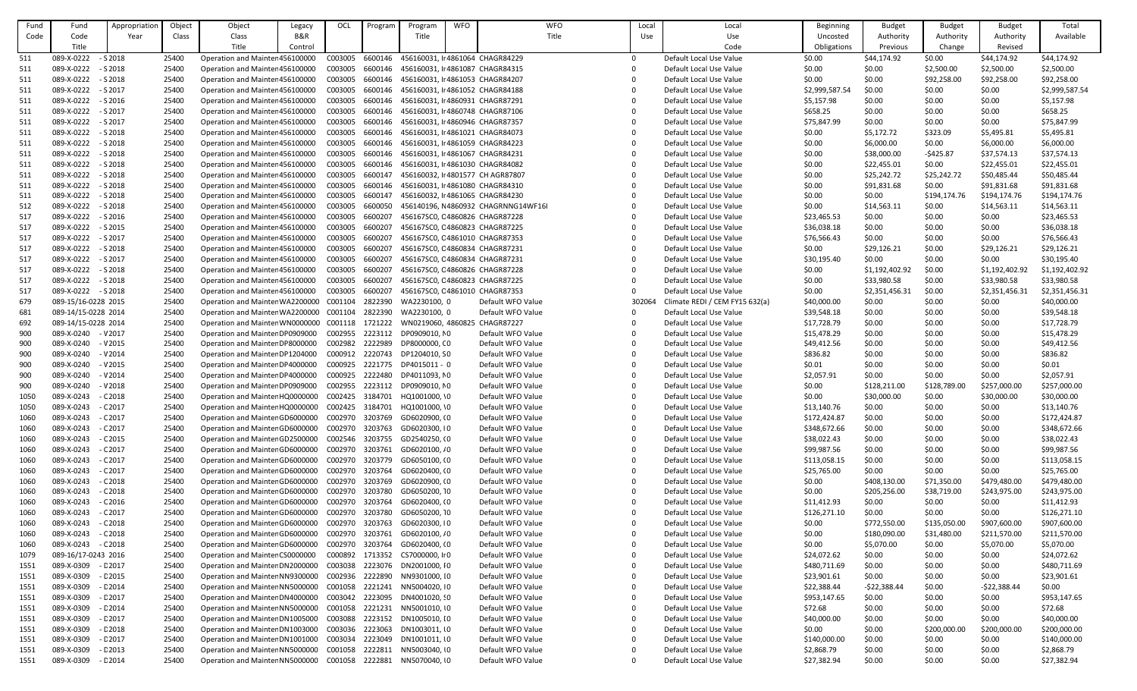| Fund | Fund                | Appropriation | Object | Object                                          | Legacy         | OCL             | Program | Program                          | <b>WFO</b> | <b>WFO</b>                          | Local    | Local                          | Beginning      | <b>Budget</b>  | <b>Budget</b> | <b>Budget</b>  | Total          |
|------|---------------------|---------------|--------|-------------------------------------------------|----------------|-----------------|---------|----------------------------------|------------|-------------------------------------|----------|--------------------------------|----------------|----------------|---------------|----------------|----------------|
| Code | Code                | Year          | Class  | Class                                           | <b>B&amp;R</b> |                 |         | Title                            |            | Title                               | Use      | Use                            | Uncosted       | Authority      | Authority     | Authority      | Available      |
|      | Title               |               |        | Title                                           | Control        |                 |         |                                  |            |                                     |          | Code                           | Obligations    | Previous       | Change        | Revised        |                |
| 511  | 089-X-0222          | $- S 2018$    | 25400  | Operation and Mainter 456100000                 |                | C003005         | 6600146 | 456160031, Ir4861064 CHAGR84229  |            |                                     | $\Omega$ | Default Local Use Value        | \$0.00         | \$44,174.92    | \$0.00        | \$44,174.92    | \$44,174.92    |
| 511  | 089-X-0222          | $-$ S 2018    | 25400  | Operation and Mainter 456100000                 |                | C003005         | 6600146 | 456160031, Ir4861087 CHAGR84315  |            |                                     |          | Default Local Use Value        | \$0.00         | \$0.00         | \$2,500.00    | \$2,500.00     | \$2,500.00     |
| 511  | 089-X-0222          | $- S 2018$    | 25400  | Operation and Mainter 456100000                 |                | C003005         | 6600146 | 456160031, lr 4861053 CHAGR84207 |            |                                     |          | Default Local Use Value        | \$0.00         | \$0.00         | \$92,258.00   | \$92,258.00    | \$92,258.00    |
| 511  | 089-X-0222          | $-$ S 2017    | 25400  | Operation and Mainter 456100000                 |                | C003005         | 6600146 | 456160031, Ir4861052 CHAGR84188  |            |                                     |          | Default Local Use Value        | \$2,999,587.54 | \$0.00         | \$0.00        | \$0.00         | \$2,999,587.54 |
| 511  | 089-X-0222          | $-$ S 2016    | 25400  | Operation and Mainter 456100000                 |                | C003005         | 6600146 | 456160031, Ir4860931 CHAGR87291  |            |                                     |          | Default Local Use Value        | \$5,157.98     | \$0.00         | \$0.00        | \$0.00         | \$5,157.98     |
| 511  | 089-X-0222          | $-$ S 2017    | 25400  | Operation and Mainter 456100000                 |                | C003005         | 6600146 | 456160031, Ir4860748 CHAGR87106  |            |                                     |          | Default Local Use Value        | \$658.25       | \$0.00         | \$0.00        | \$0.00         | \$658.25       |
| 511  | 089-X-0222          | $-$ S 2017    | 25400  | Operation and Mainter 456100000                 |                | C003005         | 6600146 | 456160031, Ir4860946 CHAGR87357  |            |                                     |          | Default Local Use Value        | \$75,847.99    | \$0.00         | \$0.00        | \$0.00         | \$75,847.99    |
|      | 089-X-0222          | $- S 2018$    | 25400  | Operation and Mainter 456100000                 |                | C003005         | 6600146 | 456160031, lr 4861021 CHAGR84073 |            |                                     |          | Default Local Use Value        |                | \$5,172.72     | \$323.09      |                | \$5,495.81     |
| 511  |                     |               |        |                                                 |                | C003005         |         |                                  |            |                                     |          |                                | \$0.00         |                |               | \$5,495.81     |                |
| 511  | 089-X-0222          | - S 2018      | 25400  | Operation and Mainter 456100000                 |                |                 | 6600146 | 456160031, Ir4861059 CHAGR84223  |            |                                     |          | Default Local Use Value        | \$0.00         | \$6,000.00     | \$0.00        | \$6,000.00     | \$6,000.00     |
| 511  | 089-X-0222          | $-$ S 2018    | 25400  | Operation and Mainter 456100000                 |                | C003005         | 6600146 | 456160031, Ir 4861067 CHAGR84231 |            |                                     |          | Default Local Use Value        | \$0.00         | \$38,000.00    | $-5425.87$    | \$37,574.13    | \$37,574.13    |
| 511  | 089-X-0222          | $-$ S 2018    | 25400  | Operation and Mainter 456100000                 |                | C003005         | 6600146 | 456160031, lr 4861030 CHAGR84082 |            |                                     |          | Default Local Use Value        | \$0.00         | \$22,455.01    | \$0.00        | \$22,455.01    | \$22,455.01    |
| 511  | 089-X-0222          | $-$ S 2018    | 25400  | Operation and Mainter 456100000                 |                | C003005         | 6600147 |                                  |            | 456160032, Ir 4801577 CH AGR87807   |          | Default Local Use Value        | \$0.00         | \$25,242.72    | \$25,242.72   | \$50,485.44    | \$50,485.44    |
| 511  | 089-X-0222          | $- S 2018$    | 25400  | Operation and Mainter 456100000                 |                | C003005         | 6600146 | 456160031, Ir4861080 CHAGR84310  |            |                                     |          | Default Local Use Value        | \$0.00         | \$91,831.68    | \$0.00        | \$91,831.68    | \$91,831.68    |
| 511  | 089-X-0222          | $-$ S 2018    | 25400  | Operation and Mainter 456100000                 |                | C003005         | 6600147 | 456160032, lr 4861065 CHAGR84230 |            |                                     |          | Default Local Use Value        | \$0.00         | \$0.00         | \$194,174.76  | \$194,174.76   | \$194,174.76   |
| 512  | 089-X-0222          | $-$ S 2018    | 25400  | Operation and Mainter 456100000                 |                | C003005         | 6600050 |                                  |            | 456140196, N4860932 CHAGRNNG14WF16I |          | Default Local Use Value        | \$0.00         | \$14,563.11    | \$0.00        | \$14,563.11    | \$14,563.11    |
| 517  | 089-X-0222          | $-$ S 2016    | 25400  | Operation and Mainter 456100000                 |                | C003005         | 6600207 | 456167SC0, C4860826 CHAGR87228   |            |                                     |          | Default Local Use Value        | \$23,465.53    | \$0.00         | \$0.00        | \$0.00         | \$23,465.53    |
| 517  | 089-X-0222          | $-$ S 2015    | 25400  | Operation and Mainter 456100000                 |                | C003005         | 6600207 |                                  |            | 456167SC0, C4860823 CHAGR87225      |          | Default Local Use Value        | \$36,038.18    | \$0.00         | \$0.00        | \$0.00         | \$36,038.18    |
| 517  | 089-X-0222          | $-$ S 2017    | 25400  | Operation and Mainter 456100000                 |                | C003005         | 6600207 | 456167SC0, C4861010 CHAGR87353   |            |                                     |          | Default Local Use Value        | \$76,566.43    | \$0.00         | \$0.00        | \$0.00         | \$76,566.43    |
| 517  | 089-X-0222          | $-$ S 2018    | 25400  | Operation and Mainter 456100000                 |                | C003005         | 6600207 |                                  |            | 456167SC0, C4860834 CHAGR87231      |          | Default Local Use Value        | \$0.00         | \$29,126.21    | \$0.00        | \$29,126.21    | \$29,126.21    |
| 517  | 089-X-0222          | $-$ S 2017    | 25400  | Operation and Mainter 456100000                 |                | C003005         | 6600207 | 456167SC0, C4860834 CHAGR87231   |            |                                     |          | Default Local Use Value        | \$30,195.40    | \$0.00         | \$0.00        | \$0.00         | \$30,195.40    |
| 517  | 089-X-0222          | $-$ S 2018    | 25400  | Operation and Mainter 456100000                 |                | C003005         | 6600207 | 456167SC0, C4860826 CHAGR87228   |            |                                     |          | Default Local Use Value        | \$0.00         | \$1,192,402.92 | \$0.00        | \$1,192,402.92 | \$1,192,402.92 |
| 517  | 089-X-0222          | $-$ S 2018    | 25400  | Operation and Mainter 456100000                 |                | C003005         | 6600207 | 456167SC0, C4860823 CHAGR87225   |            |                                     |          | Default Local Use Value        | \$0.00         | \$33,980.58    | \$0.00        | \$33,980.58    | \$33,980.58    |
| 517  | 089-X-0222          | $-52018$      | 25400  | Operation and Mainter 456100000                 |                | C003005         | 6600207 | 456167SC0, C4861010 CHAGR87353   |            |                                     |          | Default Local Use Value        | \$0.00         | \$2,351,456.31 | \$0.00        | \$2,351,456.31 | \$2,351,456.31 |
| 679  | 089-15/16-0228 2015 |               | 25400  | Operation and Mainter WA2200000                 |                | C001104         | 2822390 | WA2230100, 0                     |            | Default WFO Value                   | 302064   | Climate REDI / CEM FY15 632(a) | \$40,000.00    | \$0.00         | \$0.00        | \$0.00         | \$40,000.00    |
| 681  | 089-14/15-0228 2014 |               | 25400  | Operation and Mainter WA2200000                 |                | C001104         | 2822390 | WA2230100, 0                     |            | Default WFO Value                   |          | Default Local Use Value        | \$39,548.18    | \$0.00         | \$0.00        | \$0.00         | \$39,548.18    |
| 692  | 089-14/15-0228 2014 |               | 25400  | Operation and Mainter WN0000000 C001118 1721222 |                |                 |         | WN0219060, 4860825 CHAGR87227    |            |                                     |          | Default Local Use Value        | \$17,728.79    | \$0.00         | \$0.00        | \$0.00         | \$17,728.79    |
| 900  | 089-X-0240 - V2017  |               | 25400  | Operation and Mainter DP0909000                 |                | C002955         | 2223112 | DP0909010, NO                    |            | Default WFO Value                   |          | Default Local Use Value        | \$15,478.29    | \$0.00         | \$0.00        | \$0.00         | \$15,478.29    |
| 900  | 089-X-0240          | - V 2015      | 25400  | Operation and Mainter DP8000000                 |                | C002982         | 2222989 | DP8000000, CO                    |            | Default WFO Value                   |          | Default Local Use Value        | \$49,412.56    | \$0.00         | \$0.00        | \$0.00         | \$49,412.56    |
| 900  | 089-X-0240          | - V 2014      | 25400  | Operation and Mainter DP1204000                 |                |                 |         | C000912 2220743 DP1204010, SO    |            | Default WFO Value                   |          | Default Local Use Value        | \$836.82       | \$0.00         | \$0.00        | \$0.00         | \$836.82       |
| 900  | 089-X-0240          | - V 2015      | 25400  | Operation and Mainter DP4000000                 |                | C000925 2221775 |         | DP4015011 - 0                    |            | Default WFO Value                   |          | Default Local Use Value        | \$0.01         | \$0.00         | \$0.00        | \$0.00         | \$0.01         |
| 900  | 089-X-0240          | - V 2014      | 25400  | Operation and Mainter DP4000000                 |                | C000925 2222480 |         | DP4011093, NO                    |            | Default WFO Value                   |          | Default Local Use Value        | \$2,057.91     | \$0.00         | \$0.00        | \$0.00         | \$2,057.91     |
| 900  | 089-X-0240          | $- V 2018$    | 25400  | Operation and Mainter DP0909000                 |                | C002955 2223112 |         | DP0909010, NO                    |            | Default WFO Value                   |          | Default Local Use Value        | \$0.00         | \$128,211.00   | \$128,789.00  | \$257,000.00   | \$257,000.00   |
| 1050 | 089-X-0243          | $-$ C 2018    | 25400  | Operation and Mainter HQ0000000                 |                | C002425 3184701 |         | HQ1001000, \0                    |            | Default WFO Value                   |          | Default Local Use Value        | \$0.00         | \$30,000.00    | \$0.00        | \$30,000.00    | \$30,000.00    |
| 1050 | 089-X-0243          | - C 2017      | 25400  | Operation and Mainter HQ0000000                 |                | C002425 3184701 |         | HQ1001000, \0                    |            | Default WFO Value                   |          | Default Local Use Value        | \$13,140.76    | \$0.00         | \$0.00        | \$0.00         | \$13,140.76    |
| 1060 | 089-X-0243          | $-$ C 2017    | 25400  | Operation and Mainter GD6000000                 |                | C002970 3203769 |         | GD6020900, (0                    |            | Default WFO Value                   |          | Default Local Use Value        | \$172,424.87   | \$0.00         | \$0.00        | \$0.00         | \$172,424.87   |
| 1060 | 089-X-0243          | $-$ C 2017    | 25400  | Operation and Mainter GD6000000                 |                | C002970 3203763 |         | GD6020300, IO                    |            | Default WFO Value                   |          | Default Local Use Value        | \$348,672.66   | \$0.00         | \$0.00        | \$0.00         | \$348,672.66   |
| 1060 | 089-X-0243          | $- C 2015$    | 25400  | Operation and Mainter GD2500000                 |                | C002546 3203755 |         | GD2540250, (0                    |            | Default WFO Value                   |          | Default Local Use Value        | \$38,022.43    | \$0.00         | \$0.00        | \$0.00         | \$38,022.43    |
| 1060 | 089-X-0243          | $- C 2017$    | 25400  | Operation and Mainter GD6000000                 |                | C002970 3203761 |         | GD6020100, / 0                   |            | Default WFO Value                   |          | Default Local Use Value        | \$99,987.56    | \$0.00         | \$0.00        | \$0.00         | \$99,987.56    |
| 1060 | 089-X-0243          | $- C 2017$    | 25400  | Operation and Mainter GD6000000                 |                | C002970 3203779 |         | GD6050100, (0                    |            | Default WFO Value                   |          | Default Local Use Value        | \$113,058.15   | \$0.00         | \$0.00        | \$0.00         | \$113,058.15   |
| 1060 | 089-X-0243          | $- C 2017$    | 25400  | Operation and Mainter GD6000000                 |                | C002970 3203764 |         | GD6020400, (0                    |            | Default WFO Value                   |          | Default Local Use Value        | \$25,765.00    | \$0.00         | \$0.00        | \$0.00         | \$25,765.00    |
| 1060 | 089-X-0243          | $-$ C 2018    | 25400  | Operation and Mainter GD6000000                 |                | C002970 3203769 |         | GD6020900, (0                    |            | Default WFO Value                   |          | Default Local Use Value        | \$0.00         | \$408,130.00   | \$71,350.00   | \$479,480.00   | \$479,480.00   |
| 1060 | 089-X-0243          | $- C 2018$    | 25400  | Operation and Mainter GD6000000                 |                | C002970 3203780 |         | GD6050200, 10                    |            | Default WFO Value                   |          | Default Local Use Value        | \$0.00         | \$205,256.00   | \$38,719.00   | \$243,975.00   | \$243,975.00   |
| 1060 | 089-X-0243          | $- C 2016$    | 25400  | Operation and Mainter GD6000000                 |                | C002970 3203764 |         | GD6020400, (0                    |            | Default WFO Value                   |          | Default Local Use Value        | \$11,412.93    | \$0.00         | \$0.00        | \$0.00         | \$11,412.93    |
| 1060 | 089-X-0243          | $-$ C 2017    | 25400  | Operation and Mainter GD6000000                 |                | C002970 3203780 |         | GD6050200, 10                    |            | Default WFO Value                   |          | Default Local Use Value        | \$126,271.10   | \$0.00         | \$0.00        | \$0.00         | \$126,271.10   |
| 1060 | 089-X-0243          | $- C 2018$    | 25400  | Operation and Mainter GD6000000                 |                | C002970         | 3203763 | GD6020300, IO                    |            | Default WFO Value                   |          | Default Local Use Value        | \$0.00         | \$772,550.00   | \$135,050.00  | \$907,600.00   | \$907,600.00   |
| 1060 | 089-X-0243          | $-$ C 2018    | 25400  | Operation and Mainter GD6000000                 |                | C002970 3203761 |         | GD6020100, / 0                   |            | Default WFO Value                   |          | Default Local Use Value        | \$0.00         | \$180,090.00   | \$31,480.00   | \$211,570.00   | \$211,570.00   |
| 1060 | 089-X-0243          | - C 2018      | 25400  | Operation and Mainter GD6000000                 |                | C002970 3203764 |         | GD6020400, (0                    |            | Default WFO Value                   |          | Default Local Use Value        | \$0.00         | \$5,070.00     | \$0.00        | \$5,070.00     | \$5,070.00     |
| 1079 | 089-16/17-0243 2016 |               | 25400  | Operation and Mainter CS0000000                 |                | C000892         | 1713352 | CS7000000, It 0                  |            | Default WFO Value                   |          | Default Local Use Value        | \$24,072.62    | \$0.00         | \$0.00        | \$0.00         | \$24,072.62    |
| 1551 | 089-X-0309 - L 2017 |               | 25400  | Operation and Mainter DN2000000                 |                | C003038         | 2223076 | DN2001000, IO                    |            | Default WFO Value                   |          | Default Local Use Value        | \$480,711.69   | \$0.00         | \$0.00        | \$0.00         | \$480,711.69   |
| 1551 | 089-X-0309          | $-$ C 2015    | 25400  | Operation and Mainter NN9300000                 |                | C002936 2222890 |         | NN9301000, 10                    |            | Default WFO Value                   |          | Default Local Use Value        | \$23,901.61    | \$0.00         | \$0.00        | \$0.00         | \$23,901.61    |
| 1551 | 089-X-0309          | - C 2014      | 25400  | Operation and Mainter NN5000000                 |                | C001058         | 2221241 | NN5004020, IO                    |            | Default WFO Value                   |          | Default Local Use Value        | \$22,388.44    | -\$22,388.44   | \$0.00        | -\$22,388.44   | \$0.00         |
| 1551 | 089-X-0309          | $-$ C 2017    | 25400  | Operation and Mainter DN4000000                 |                | C003042 2223095 |         | DN4001020, 90                    |            | Default WFO Value                   |          | Default Local Use Value        | \$953,147.65   | \$0.00         | \$0.00        | \$0.00         | \$953,147.65   |
| 1551 | 089-X-0309          | $-$ C 2014    | 25400  | Operation and Mainter NN5000000                 |                | C001058         | 2221231 | NN5001010, 10                    |            | Default WFO Value                   |          | Default Local Use Value        | \$72.68        | \$0.00         | \$0.00        | \$0.00         | \$72.68        |
| 1551 | 089-X-0309          | - C 2017      | 25400  | Operation and Mainter DN1005000                 |                | C003088         | 2223152 | DN1005010, IO                    |            | Default WFO Value                   |          | Default Local Use Value        | \$40,000.00    | \$0.00         | \$0.00        | \$0.00         | \$40,000.00    |
| 1551 | 089-X-0309          | - C 2018      | 25400  | Operation and Mainter DN1003000                 |                | C003036         | 2223063 | DN1003011, IO                    |            | Default WFO Value                   |          | Default Local Use Value        | \$0.00         | \$0.00         | \$200,000.00  | \$200,000.00   | \$200,000.00   |
| 1551 | 089-X-0309          | $-$ C 2017    | 25400  | Operation and Mainter DN1001000                 |                | C003034         | 2223049 | DN1001011, IO                    |            | Default WFO Value                   |          | Default Local Use Value        | \$140,000.00   | \$0.00         | \$0.00        | \$0.00         | \$140,000.00   |
| 1551 | 089-X-0309          | $-$ C 2013    | 25400  | Operation and Mainter NN5000000                 |                | C001058         | 2222811 | NN5003040, 10                    |            | Default WFO Value                   |          | Default Local Use Value        | \$2,868.79     | \$0.00         | \$0.00        | \$0.00         | \$2,868.79     |
| 1551 | 089-X-0309          | - C 2014      | 25400  | Operation and Mainter NN5000000                 |                | C001058         | 2222881 | NN5070040, 10                    |            | Default WFO Value                   |          | Default Local Use Value        | \$27,382.94    | \$0.00         | \$0.00        | \$0.00         | \$27,382.94    |
|      |                     |               |        |                                                 |                |                 |         |                                  |            |                                     |          |                                |                |                |               |                |                |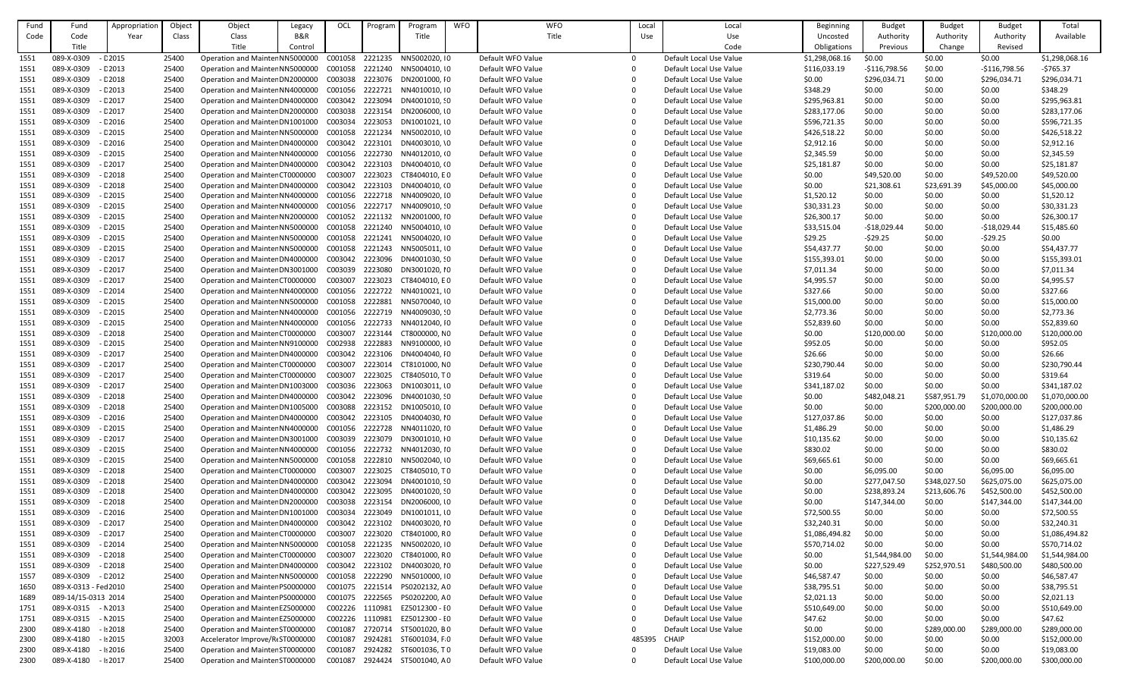| Fund | Fund                     | Appropriation            | Object         | Object                                                             | Legacy  | OCL                | Program            | Program                        | <b>WFO</b> | <b>WFO</b>                             | Local  | Local                                              | <b>Beginning</b> | <b>Budget</b>              | <b>Budget</b>          | <b>Budget</b>              | Total                      |
|------|--------------------------|--------------------------|----------------|--------------------------------------------------------------------|---------|--------------------|--------------------|--------------------------------|------------|----------------------------------------|--------|----------------------------------------------------|------------------|----------------------------|------------------------|----------------------------|----------------------------|
| Code | Code                     | Year                     | Class          | Class                                                              | B&R     |                    |                    | Title                          |            | Title                                  | Use    | Use                                                | Uncosted         | Authority                  | Authority              | Authority                  | Available                  |
|      | Title                    |                          |                | Title                                                              | Control |                    |                    |                                |            |                                        |        | Code                                               | Obligations      | Previous                   | Change                 | Revised                    |                            |
| 1551 | 089-X-0309               | $-$ C 2015               | 25400          | Operation and Mainter NN5000000                                    |         | C001058            | 2221235            | NN5002020, 10                  |            | Default WFO Value                      |        | Default Local Use Value                            | \$1,298,068.16   | \$0.00                     | \$0.00                 | \$0.00                     | \$1,298,068.16             |
| 1551 | 089-X-0309               | $-$ C 2013               | 25400          | Operation and Mainter NN5000000                                    |         | C001058            | 2221240            | NN5004010, 10                  |            | Default WFO Value                      |        | Default Local Use Value                            | \$116,033.19     | $-$116,798.56$             | \$0.00                 | $-$116,798.56$             | $-5765.37$                 |
| 1551 | 089-X-0309               | $ E$ 2018                | 25400          | Operation and Mainter DN2000000                                    |         | C003038            | 2223076            | DN2001000, IO                  |            | Default WFO Value                      |        | Default Local Use Value                            | \$0.00           | \$296,034.71               | \$0.00                 | \$296,034.71               | \$296,034.71               |
| 1551 | 089-X-0309               | $-$ C 2013               | 25400          | Operation and Mainter NN4000000                                    |         | C001056            | 2222721            | NN4010010, IO                  |            | Default WFO Value                      |        | Default Local Use Value                            | \$348.29         | \$0.00                     | \$0.00                 | \$0.00                     | \$348.29                   |
|      | 089-X-0309               | $-$ C 2017               | 25400          | Operation and Mainter DN4000000                                    |         | C003042            | 2223094            | DN4001010, 90                  |            | Default WFO Value                      |        | Default Local Use Value                            | \$295,963.81     | \$0.00                     | \$0.00                 | \$0.00                     | \$295,963.81               |
| 1551 | 089-X-0309               |                          |                |                                                                    |         |                    | 2223154            |                                |            | Default WFO Value                      |        | Default Local Use Value                            |                  |                            |                        |                            |                            |
| 1551 |                          | $-$ C 2017               | 25400          | Operation and Mainter DN2000000                                    |         | C003038            |                    | DN2006000, 10                  |            |                                        |        |                                                    | \$283,177.06     | \$0.00                     | \$0.00                 | \$0.00                     | \$283,177.06               |
| 1551 | 089-X-0309               | $-$ C 2016               | 25400          | Operation and Mainter DN1001000                                    |         | C003034            | 2223053            | DN1001021, IO                  |            | Default WFO Value                      |        | Default Local Use Value                            | \$596,721.35     | \$0.00                     | \$0.00                 | \$0.00                     | \$596,721.35               |
| 1551 | 089-X-0309               | $-$ C 2015               | 25400          | Operation and Mainter NN5000000                                    |         | C001058            | 2221234            | NN5002010, 10                  |            | Default WFO Value                      |        | Default Local Use Value                            | \$426,518.22     | \$0.00                     | \$0.00                 | \$0.00                     | \$426,518.22               |
| 1551 | 089-X-0309               | $-$ C 2016               | 25400          | Operation and Mainter DN4000000                                    |         | C003042            | 2223101            | DN4003010, \0                  |            | Default WFO Value                      |        | Default Local Use Value                            | \$2,912.16       | \$0.00                     | \$0.00                 | \$0.00                     | \$2,912.16                 |
| 1551 | 089-X-0309               | $-$ C 2015               | 25400          | Operation and Mainter NN4000000                                    |         | C001056            | 2222730            | NN4012010, (0                  |            | Default WFO Value                      |        | Default Local Use Value                            | \$2,345.59       | \$0.00                     | \$0.00                 | \$0.00                     | \$2,345.59                 |
| 1551 | 089-X-0309               | $-$ C 2017               | 25400          | Operation and Mainter DN4000000                                    |         | C003042            | 2223103            | DN4004010, (0                  |            | Default WFO Value                      |        | Default Local Use Value                            | \$25,181.87      | \$0.00                     | \$0.00                 | \$0.00                     | \$25,181.87                |
| 1551 | 089-X-0309               | $-$ C 2018               | 25400          | Operation and Mainter CT0000000                                    |         | C003007            | 2223023            | CT8404010, EO                  |            | Default WFO Value                      |        | Default Local Use Value                            | \$0.00           | \$49,520.00                | \$0.00                 | \$49,520.00                | \$49,520.00                |
| 1551 | 089-X-0309               | $ C$ 2018                | 25400          | Operation and Mainter DN4000000                                    |         | C003042            | 2223103            | DN4004010, (0                  |            | Default WFO Value                      |        | Default Local Use Value                            | \$0.00           | \$21,308.61                | \$23,691.39            | \$45,000.00                | \$45,000.00                |
| 1551 | 089-X-0309               | $-$ C 2015               | 25400          | Operation and Mainter NN4000000                                    |         | C001056            | 2222718            | NN4009020, 10                  |            | Default WFO Value                      |        | Default Local Use Value                            | \$1,520.12       | \$0.00                     | \$0.00                 | \$0.00                     | \$1,520.12                 |
| 1551 | 089-X-0309               | $-$ C 2015               | 25400          | Operation and Mainter NN4000000                                    |         | C001056            | 2222717            | NN4009010, '0                  |            | Default WFO Value                      |        | Default Local Use Value                            | \$30,331.23      | \$0.00                     | \$0.00                 | \$0.00                     | \$30,331.23                |
| 1551 | 089-X-0309               | $-$ C 2015               | 25400          | Operation and Mainter NN2000000                                    |         | C001052            | 2221132            | NN2001000, 10                  |            | Default WFO Value                      |        | Default Local Use Value                            | \$26,300.17      | \$0.00                     | \$0.00                 | \$0.00                     | \$26,300.17                |
| 1551 | 089-X-0309               | $-$ C 2015               | 25400          | Operation and Mainter NN5000000                                    |         | C001058            | 2221240            | NN5004010, 10                  |            | Default WFO Value                      |        | Default Local Use Value                            | \$33,515.04      | $-518,029.44$              | \$0.00                 | -\$18,029.44               | \$15,485.60                |
| 1551 | 089-X-0309               | $-$ C 2015               | 25400          | Operation and Mainter NN5000000                                    |         | C001058            | 2221241            | NN5004020, 10                  |            | Default WFO Value                      |        | Default Local Use Value                            | \$29.25          | $-529.25$                  | \$0.00                 | $-529.25$                  | \$0.00                     |
| 1551 | 089-X-0309               | $-$ C 2015               | 25400          | Operation and Mainter NN5000000                                    |         | C001058            | 2221243            | NN5005011, 10                  |            | Default WFO Value                      |        | Default Local Use Value                            | \$54,437.77      | \$0.00                     | \$0.00                 | \$0.00                     | \$54,437.77                |
| 1551 | 089-X-0309               | $-$ C 2017               | 25400          | Operation and Mainter DN4000000                                    |         | C003042            | 2223096            | DN4001030, 90                  |            | Default WFO Value                      |        | Default Local Use Value                            | \$155,393.01     | \$0.00                     | \$0.00                 | \$0.00                     | \$155,393.01               |
| 1551 | 089-X-0309               | $-$ C 2017               | 25400          | Operation and Mainter DN3001000                                    |         | C003039            | 2223080            | DN3001020, IO                  |            | Default WFO Value                      |        | Default Local Use Value                            | \$7,011.34       | \$0.00                     | \$0.00                 | \$0.00                     | \$7,011.34                 |
| 1551 | 089-X-0309               | $-$ C 2017               | 25400          | Operation and Mainter CT0000000                                    |         | C003007            | 2223023            | CT8404010, EO                  |            | Default WFO Value                      |        | Default Local Use Value                            | \$4,995.57       | \$0.00                     | \$0.00                 | \$0.00                     | \$4,995.57                 |
| 1551 | 089-X-0309               | $-$ C 2014               | 25400          | Operation and Mainter NN4000000                                    |         | C001056            | 2222722            | NN4010021, 10                  |            | Default WFO Value                      |        | Default Local Use Value                            | \$327.66         | \$0.00                     | \$0.00                 | \$0.00                     | \$327.66                   |
| 1551 | 089-X-0309               | $-$ C 2015               | 25400          | Operation and Mainter NN5000000                                    |         | C001058            | 2222881            | NN5070040, IO                  |            | Default WFO Value                      |        | Default Local Use Value                            | \$15,000.00      | \$0.00                     | \$0.00                 | \$0.00                     | \$15,000.00                |
| 1551 | 089-X-0309               | $-$ C 2015               | 25400          | Operation and Mainter NN4000000                                    |         | C001056            | 2222719            | NN4009030, 10                  |            | Default WFO Value                      |        | Default Local Use Value                            | \$2,773.36       | \$0.00                     | \$0.00                 | \$0.00                     | \$2,773.36                 |
| 1551 | 089-X-0309               | $-$ C 2015               | 25400          | Operation and Mainter NN4000000                                    |         | C001056            | 2222733            | NN4012040, IO                  |            | Default WFO Value                      |        | Default Local Use Value                            | \$52,839.60      | \$0.00                     | \$0.00                 | \$0.00                     | \$52,839.60                |
| 1551 | 089-X-0309               | $-$ C 2018               | 25400          | Operation and Mainter CT0000000                                    |         | C003007            | 2223144            | CT8000000, NO                  |            | Default WFO Value                      |        | Default Local Use Value                            | \$0.00           | \$120,000.00               | \$0.00                 | \$120,000.00               | \$120,000.00               |
| 1551 | 089-X-0309               | $-$ C 2015               | 25400          | Operation and Mainter NN9100000                                    |         | C002938            | 2222883            | NN9100000, IO                  |            | Default WFO Value                      |        | Default Local Use Value                            | \$952.05         | \$0.00                     | \$0.00                 | \$0.00                     | \$952.05                   |
| 1551 | 089-X-0309               | - C 2017                 | 25400          | Operation and Mainter DN4000000                                    |         | C003042            |                    | 2223106 DN4004040, IO          |            | Default WFO Value                      |        | Default Local Use Value                            | \$26.66          | \$0.00                     | \$0.00                 | \$0.00                     | \$26.66                    |
| 1551 | 089-X-0309               | $-$ C 2017               | 25400          | Operation and Mainter CT0000000                                    |         | C003007            | 2223014            | CT8101000, NO                  |            | Default WFO Value                      |        | Default Local Use Value                            | \$230,790.44     | \$0.00                     | \$0.00                 | \$0.00                     | \$230,790.44               |
| 1551 | 089-X-0309               | $-$ C 2017               | 25400          | Operation and Mainter CT0000000                                    |         | C003007            | 2223025            | CT8405010, TO                  |            | Default WFO Value                      |        | Default Local Use Value                            | \$319.64         | \$0.00                     | \$0.00                 | \$0.00                     | \$319.64                   |
| 1551 | 089-X-0309               | $-$ C 2017               | 25400          | Operation and Mainter DN1003000                                    |         | C003036 2223063    |                    | DN1003011, IO                  |            | Default WFO Value                      |        | Default Local Use Value                            | \$341,187.02     | \$0.00                     | \$0.00                 | \$0.00                     | \$341,187.02               |
| 1551 | 089-X-0309               | $ E$ 2018                | 25400          | Operation and Mainter DN4000000                                    |         | C003042            | 2223096            | DN4001030, 90                  |            | Default WFO Value                      |        | Default Local Use Value                            | \$0.00           | \$482,048.21               | \$587,951.79           | \$1,070,000.00             | \$1,070,000.00             |
| 1551 | 089-X-0309               | $-$ C 2018               | 25400          | Operation and Mainter DN1005000                                    |         | C003088            | 2223152            | DN1005010, IO                  |            | Default WFO Value                      |        | Default Local Use Value                            | \$0.00           | \$0.00                     | \$200,000.00           | \$200,000.00               | \$200,000.00               |
| 1551 | 089-X-0309               | $-$ C 2016               | 25400          | Operation and Mainter DN4000000                                    |         |                    |                    | C003042 2223105 DN4004030, IO  |            | Default WFO Value                      |        | Default Local Use Value                            | \$127,037.86     | \$0.00                     | \$0.00                 | \$0.00                     | \$127,037.86               |
| 1551 | 089-X-0309               | $-$ C 2015               | 25400          | Operation and Mainter NN4000000                                    |         | C001056            | 2222728            | NN4011020, 10                  |            | Default WFO Value                      |        | Default Local Use Value                            | \$1,486.29       | \$0.00                     | \$0.00                 | \$0.00                     | \$1,486.29                 |
| 1551 | 089-X-0309               | $-$ C 2017               | 25400          | Operation and Mainter DN3001000                                    |         | C003039            | 2223079            | DN3001010, IO                  |            | Default WFO Value                      |        | Default Local Use Value                            | \$10,135.62      | \$0.00                     | \$0.00                 | \$0.00                     | \$10,135.62                |
| 1551 | 089-X-0309               | $-$ C 2015               | 25400          | Operation and Mainter NN4000000                                    |         | C001056            | 2222732            | NN4012030, IO                  |            | Default WFO Value                      |        | Default Local Use Value                            | \$830.02         | \$0.00                     | \$0.00                 | \$0.00                     | \$830.02                   |
|      | 089-X-0309               | $-$ C 2015               | 25400          |                                                                    |         | C001058            | 2222810            | NN5002040, 10                  |            | Default WFO Value                      |        | Default Local Use Value                            |                  | \$0.00                     | \$0.00                 | \$0.00                     |                            |
| 1551 |                          |                          |                | Operation and Mainter NN5000000                                    |         |                    |                    |                                |            |                                        |        |                                                    | \$69,665.61      |                            |                        |                            | \$69,665.61                |
| 1551 | 089-X-0309<br>089-X-0309 | $-$ C 2018<br>$-$ C 2018 | 25400<br>25400 | Operation and Mainter CT0000000<br>Operation and Mainter DN4000000 |         | C003007<br>C003042 | 2223025<br>2223094 | CT8405010, TO<br>DN4001010, 90 |            | Default WFO Value<br>Default WFO Value |        | Default Local Use Value<br>Default Local Use Value | \$0.00           | \$6,095.00<br>\$277,047.50 | \$0.00<br>\$348,027.50 | \$6,095.00<br>\$625,075.00 | \$6,095.00<br>\$625,075.00 |
| 1551 |                          |                          |                |                                                                    |         |                    |                    |                                |            |                                        |        |                                                    | \$0.00           |                            |                        |                            |                            |
| 1551 | 089-X-0309               | $-$ C 2018               | 25400          | Operation and Mainter DN4000000                                    |         | C003042 2223095    |                    | DN4001020, 90                  |            | Default WFO Value                      |        | Default Local Use Value                            | \$0.00           | \$238,893.24               | \$213,606.76           | \$452,500.00               | \$452,500.00               |
| 1551 | 089-X-0309               | $ E$ 2018                | 25400          | Operation and Mainter DN2000000                                    |         | C003038            | 2223154            | DN2006000, IO                  |            | Default WFO Value                      |        | Default Local Use Value                            | \$0.00           | \$147,344.00               | \$0.00                 | \$147,344.00               | \$147,344.00               |
| 1551 | 089-X-0309               | $-$ C 2016               | 25400          | Operation and Mainter DN1001000                                    |         | C003034            | 2223049            | DN1001011, IO                  |            | Default WFO Value                      |        | Default Local Use Value                            | \$72,500.55      | \$0.00                     | \$0.00                 | \$0.00                     | \$72,500.55                |
| 1551 | 089-X-0309               | $-$ C 2017               | 25400          | Operation and Mainter DN4000000                                    |         | C003042            | 2223102            | DN4003020, IO                  |            | Default WFO Value                      |        | Default Local Use Value                            | \$32,240.31      | \$0.00                     | \$0.00                 | \$0.00                     | \$32,240.31                |
| 1551 | 089-X-0309               | $-$ C 2017               | 25400          | Operation and Mainter CT0000000                                    |         | C003007            | 2223020            | CT8401000, RO                  |            | Default WFO Value                      |        | Default Local Use Value                            | \$1,086,494.82   | \$0.00                     | \$0.00                 | \$0.00                     | \$1,086,494.82             |
| 1551 | 089-X-0309               | $-$ C 2014               | 25400          | Operation and Mainter NN5000000                                    |         | C001058            | 2221235            | NN5002020, 10                  |            | Default WFO Value                      |        | Default Local Use Value                            | \$570,714.02     | \$0.00                     | \$0.00                 | \$0.00                     | \$570,714.02               |
| 1551 | 089-X-0309               | $ E$ 2018                | 25400          | Operation and Mainter CT0000000                                    |         | C003007            | 2223020            | CT8401000, RO                  |            | Default WFO Value                      |        | Default Local Use Value                            | \$0.00           | \$1,544,984.00             | \$0.00                 | \$1,544,984.00             | \$1,544,984.00             |
| 1551 | 089-X-0309               | $-$ C 2018               | 25400          | Operation and Mainter DN4000000                                    |         | C003042            |                    | 2223102 DN4003020, IO          |            | Default WFO Value                      |        | Default Local Use Value                            | \$0.00           | \$227,529.49               | \$252,970.51           | \$480,500.00               | \$480,500.00               |
| 1557 | 089-X-0309               | $-$ C 2012               | 25400          | Operation and Mainter NN5000000                                    |         | C001058            | 2222290            | NN5010000, 10                  |            | Default WFO Value                      |        | Default Local Use Value                            | \$46,587.47      | \$0.00                     | \$0.00                 | \$0.00                     | \$46,587.47                |
| 1650 | 089-X-0313 - Fed 2010    |                          | 25400          | Operation and Mainter PS0000000                                    |         | C001075            | 2221514            | PS0202132, AO                  |            | Default WFO Value                      |        | Default Local Use Value                            | \$38,795.51      | \$0.00                     | \$0.00                 | \$0.00                     | \$38,795.51                |
| 1689 | 089-14/15-0313 2014      |                          | 25400          | Operation and Mainter PS0000000                                    |         | C001075            | 2222565            | PS0202200, AO                  |            | Default WFO Value                      |        | Default Local Use Value                            | \$2,021.13       | \$0.00                     | \$0.00                 | \$0.00                     | \$2,021.13                 |
| 1751 | 089-X-0315 - N 2013      |                          | 25400          | Operation and Mainter EZ5000000                                    |         | C002226            | 1110981            | EZ5012300 - IO                 |            | Default WFO Value                      |        | Default Local Use Value                            | \$510,649.00     | \$0.00                     | \$0.00                 | \$0.00                     | \$510,649.00               |
| 1751 | 089-X-0315               | $- N 2015$               | 25400          | Operation and Mainter EZ5000000                                    |         | C002226            | 1110981            | EZ5012300 - IO                 |            | Default WFO Value                      |        | Default Local Use Value                            | \$47.62          | \$0.00                     | \$0.00                 | \$0.00                     | \$47.62                    |
| 2300 | 089-X-4180               | $-1:2018$                | 25400          | Operation and Mainter ST0000000                                    |         | C001087            | 2720714            | ST5001020, BO                  |            | Default WFO Value                      |        | Default Local Use Value                            | \$0.00           | \$0.00                     | \$289,000.00           | \$289,000.00               | \$289,000.00               |
| 2300 | 089-X-4180               | $-1:2015$                | 32003          | Accelerator Improve/R(ST0000000                                    |         | C001087            | 2924281            | ST6001034, F 0                 |            | Default WFO Value                      | 485395 | <b>CHAIP</b>                                       | \$152,000.00     | \$0.00                     | \$0.00                 | \$0.00                     | \$152,000.00               |
| 2300 | 089-X-4180               | $-1:2016$                | 25400          | Operation and Mainter ST0000000                                    |         | C001087            | 2924282            | ST6001036, T0                  |            | Default WFO Value                      |        | Default Local Use Value                            | \$19,083.00      | \$0.00                     | \$0.00                 | \$0.00                     | \$19,083.00                |
| 2300 | 089-X-4180               | $-1:2017$                | 25400          | Operation and Mainter ST0000000                                    |         | C001087            |                    | 2924424 ST5001040, AO          |            | Default WFO Value                      |        | Default Local Use Value                            | \$100,000.00     | \$200,000.00               | \$0.00                 | \$200,000.00               | \$300,000.00               |
|      |                          |                          |                |                                                                    |         |                    |                    |                                |            |                                        |        |                                                    |                  |                            |                        |                            |                            |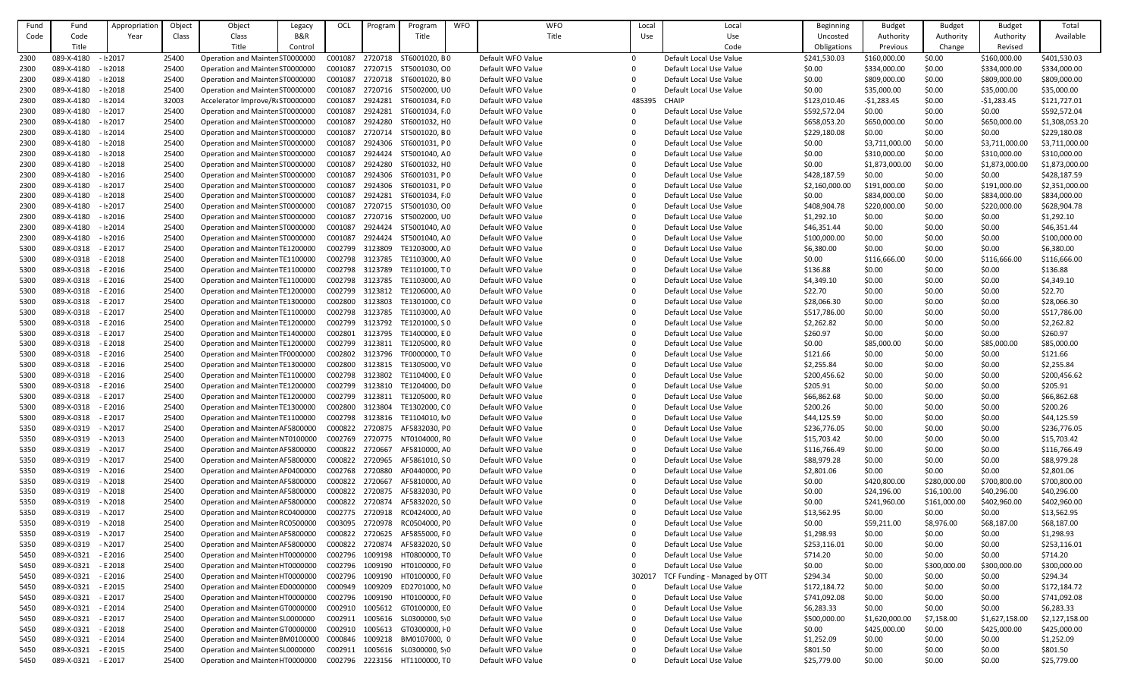| Fund | Fund       | Appropriation | Object | Object                          | Legacy         | OCL             | Program | Program                     | <b>WFO</b> | <b>WFO</b>        | Local     | Local                        | Beginning      | <b>Budget</b>  | <b>Budget</b> | <b>Budget</b>  | Total          |
|------|------------|---------------|--------|---------------------------------|----------------|-----------------|---------|-----------------------------|------------|-------------------|-----------|------------------------------|----------------|----------------|---------------|----------------|----------------|
| Code | Code       | Year          | Class  | Class                           | <b>B&amp;R</b> |                 |         | Title                       |            | Title             | Use       | Use                          | Uncosted       | Authority      | Authority     | Authority      | Available      |
|      | Title      |               |        | Title                           | Control        |                 |         |                             |            |                   |           | Code                         | Obligations    | Previous       | Change        | Revised        |                |
|      |            |               |        |                                 |                |                 |         |                             |            | Default WFO Value |           |                              |                |                |               |                |                |
| 2300 | 089-X-4180 | $-1:2017$     | 25400  | Operation and Mainter ST0000000 |                | C001087         | 2720718 | ST6001020, BO               |            |                   | $\Omega$  | Default Local Use Value      | \$241,530.03   | \$160,000.00   | \$0.00        | \$160,000.00   | \$401,530.03   |
| 2300 | 089-X-4180 | $-1:2018$     | 25400  | Operation and Mainter ST0000000 |                | C001087         |         | 2720715 ST5001030, CO       |            | Default WFO Value | 0         | Default Local Use Value      | \$0.00         | \$334,000.00   | \$0.00        | \$334,000.00   | \$334,000.00   |
| 2300 | 089-X-4180 | $-1:2018$     | 25400  | Operation and Mainter ST0000000 |                | C001087         | 2720718 | ST6001020, BO               |            | Default WFO Value | $\Omega$  | Default Local Use Value      | \$0.00         | \$809,000.00   | \$0.00        | \$809,000.00   | \$809,000.00   |
| 2300 | 089-X-4180 | $-1:2018$     | 25400  | Operation and Mainter ST0000000 |                | C001087         | 2720716 | ST5002000, UO               |            | Default WFO Value |           | Default Local Use Value      | \$0.00         | \$35,000.00    | \$0.00        | \$35,000.00    | \$35,000.00    |
| 2300 | 089-X-4180 | $-1:2014$     | 32003  | Accelerator Improve/R(ST0000000 |                | C001087         | 2924281 | ST6001034, F 0              |            | Default WFO Value | 485395    | <b>CHAIP</b>                 | \$123,010.46   | $-51,283.45$   | \$0.00        | $-51,283.45$   | \$121,727.01   |
| 2300 | 089-X-4180 | $-1:2017$     | 25400  | Operation and Mainter ST0000000 |                | C001087         | 2924281 | ST6001034, F 0              |            | Default WFO Value |           | Default Local Use Value      | \$592,572.04   | \$0.00         | \$0.00        | \$0.00         | \$592,572.04   |
| 2300 | 089-X-4180 | $-1:2017$     | 25400  | Operation and Mainter ST0000000 |                | C001087         | 2924280 | ST6001032, HO               |            | Default WFO Value | $\Omega$  | Default Local Use Value      | \$658,053.20   | \$650,000.00   | \$0.00        | \$650,000.00   | \$1,308,053.20 |
| 2300 | 089-X-4180 | $-1:2014$     | 25400  | Operation and Mainter ST0000000 |                | C001087         | 2720714 | ST5001020, BO               |            | Default WFO Value |           | Default Local Use Value      | \$229,180.08   | \$0.00         | \$0.00        | \$0.00         | \$229,180.08   |
| 2300 | 089-X-4180 | $-1:2018$     | 25400  | Operation and Mainter ST0000000 |                | C001087         | 2924306 | ST6001031, PO               |            | Default WFO Value |           | Default Local Use Value      | \$0.00         | \$3,711,000.00 | \$0.00        | \$3,711,000.00 | \$3,711,000.00 |
| 2300 | 089-X-4180 | $-1:2018$     | 25400  | Operation and Mainter ST0000000 |                | C001087         | 2924424 | ST5001040, AO               |            | Default WFO Value |           | Default Local Use Value      | \$0.00         | \$310,000.00   | \$0.00        | \$310,000.00   | \$310,000.00   |
| 2300 | 089-X-4180 | $-1:2018$     | 25400  | Operation and Mainter ST0000000 |                | C001087         | 2924280 | ST6001032, HO               |            | Default WFO Value | 0         | Default Local Use Value      | \$0.00         | \$1,873,000.00 | \$0.00        | \$1,873,000.00 | \$1,873,000.00 |
| 2300 | 089-X-4180 | $-1:2016$     | 25400  | Operation and Mainter ST0000000 |                | C001087         | 2924306 | ST6001031, PO               |            | Default WFO Value |           | Default Local Use Value      | \$428,187.59   | \$0.00         | \$0.00        | \$0.00         | \$428,187.59   |
|      |            |               |        |                                 |                |                 | 2924306 |                             |            |                   |           |                              |                |                |               |                |                |
| 2300 | 089-X-4180 | $-1:2017$     | 25400  | Operation and Mainter ST0000000 |                | C001087         |         | ST6001031, PO               |            | Default WFO Value |           | Default Local Use Value      | \$2,160,000.00 | \$191,000.00   | \$0.00        | \$191,000.00   | \$2,351,000.00 |
| 2300 | 089-X-4180 | $-1:2018$     | 25400  | Operation and Mainter ST0000000 |                | C001087         | 2924281 | ST6001034, F 0              |            | Default WFO Value | 0         | Default Local Use Value      | \$0.00         | \$834,000.00   | \$0.00        | \$834,000.00   | \$834,000.00   |
| 2300 | 089-X-4180 | $-1:2017$     | 25400  | Operation and Mainter ST0000000 |                | C001087         | 2720715 | ST5001030, CO               |            | Default WFO Value | $\bigcap$ | Default Local Use Value      | \$408,904.78   | \$220,000.00   | \$0.00        | \$220,000.00   | \$628,904.78   |
| 2300 | 089-X-4180 | $-1:2016$     | 25400  | Operation and Mainter ST0000000 |                | C001087         | 2720716 | ST5002000, UO               |            | Default WFO Value |           | Default Local Use Value      | \$1,292.10     | \$0.00         | \$0.00        | \$0.00         | \$1,292.10     |
| 2300 | 089-X-4180 | $-1:2014$     | 25400  | Operation and Mainter ST0000000 |                | C001087         | 2924424 | ST5001040, AO               |            | Default WFO Value |           | Default Local Use Value      | \$46,351.44    | \$0.00         | \$0.00        | \$0.00         | \$46,351.44    |
| 2300 | 089-X-4180 | $-1:2016$     | 25400  | Operation and Mainter ST0000000 |                | C001087         | 2924424 | ST5001040, AO               |            | Default WFO Value |           | Default Local Use Value      | \$100,000.00   | \$0.00         | \$0.00        | \$0.00         | \$100,000.00   |
| 5300 | 089-X-0318 | - E 2017      | 25400  | Operation and Mainter TE1200000 |                | C002799         | 3123809 | TE1203000, AO               |            | Default WFO Value | ∩         | Default Local Use Value      | \$6,380.00     | \$0.00         | \$0.00        | \$0.00         | \$6,380.00     |
| 5300 | 089-X-0318 | $- E 2018$    | 25400  | Operation and Mainter TE1100000 |                | C002798         | 3123785 | TE1103000, AO               |            | Default WFO Value | $\Omega$  | Default Local Use Value      | \$0.00         | \$116,666.00   | \$0.00        | \$116,666.00   | \$116,666.00   |
| 5300 | 089-X-0318 | $- E 2016$    | 25400  | Operation and Mainter TE1100000 |                | C002798         | 3123789 | TE1101000, T0               |            | Default WFO Value |           | Default Local Use Value      | \$136.88       | \$0.00         | \$0.00        | \$0.00         | \$136.88       |
| 5300 | 089-X-0318 | - E 2016      | 25400  | Operation and Mainter TE1100000 |                | C002798         | 3123785 | TE1103000, AO               |            | Default WFO Value | $\Omega$  | Default Local Use Value      | \$4,349.10     | \$0.00         | \$0.00        | \$0.00         | \$4,349.10     |
| 5300 | 089-X-0318 | $- E 2016$    | 25400  | Operation and Mainter TE1200000 |                | C002799         | 3123812 | TE1206000, A 0              |            | Default WFO Value |           | Default Local Use Value      | \$22.70        | \$0.00         | \$0.00        | \$0.00         | \$22.70        |
|      |            |               |        |                                 |                |                 |         |                             |            |                   |           |                              |                |                |               |                |                |
| 5300 | 089-X-0318 | $- E 2017$    | 25400  | Operation and Mainter TE1300000 |                | C002800         | 3123803 | TE1301000, CO               |            | Default WFO Value | 0         | Default Local Use Value      | \$28,066.30    | \$0.00         | \$0.00        | \$0.00         | \$28,066.30    |
| 5300 | 089-X-0318 | $- E 2017$    | 25400  | Operation and Mainter TE1100000 |                | C002798         | 3123785 | TE1103000, AO               |            | Default WFO Value |           | Default Local Use Value      | \$517,786.00   | \$0.00         | \$0.00        | \$0.00         | \$517,786.00   |
| 5300 | 089-X-0318 | - E 2016      | 25400  | Operation and Mainter TE1200000 |                | C002799         | 3123792 | TE1201000, SO               |            | Default WFO Value |           | Default Local Use Value      | \$2,262.82     | \$0.00         | \$0.00        | \$0.00         | \$2,262.82     |
| 5300 | 089-X-0318 | $- E 2017$    | 25400  | Operation and Mainter TE1400000 |                | C002801         | 3123795 | TE1400000, E 0              |            | Default WFO Value |           | Default Local Use Value      | \$260.97       | \$0.00         | \$0.00        | \$0.00         | \$260.97       |
| 5300 | 089-X-0318 | - E 2018      | 25400  | Operation and Mainter TE1200000 |                | C002799         | 3123811 | TE1205000. R 0              |            | Default WFO Value | $\Omega$  | Default Local Use Value      | \$0.00         | \$85,000.00    | \$0.00        | \$85,000.00    | \$85,000.00    |
| 5300 | 089-X-0318 | - E 2016      | 25400  | Operation and Mainter TF0000000 |                | C002802         | 3123796 | TF0000000, T0               |            | Default WFO Value | ∩         | Default Local Use Value      | \$121.66       | \$0.00         | \$0.00        | \$0.00         | \$121.66       |
| 5300 | 089-X-0318 | $- E 2016$    | 25400  | Operation and Mainter TE1300000 |                | C002800         | 3123815 | TE1305000, VO               |            | Default WFO Value |           | Default Local Use Value      | \$2,255.84     | \$0.00         | \$0.00        | \$0.00         | \$2,255.84     |
| 5300 | 089-X-0318 | $- E 2016$    | 25400  | Operation and Mainter TE1100000 |                | C002798         | 3123802 | TE1104000, E 0              |            | Default WFO Value | 0         | Default Local Use Value      | \$200,456.62   | \$0.00         | \$0.00        | \$0.00         | \$200,456.62   |
| 5300 | 089-X-0318 | $- E 2016$    | 25400  | Operation and Mainter TE1200000 |                | C002799         | 3123810 | TE1204000, DO               |            | Default WFO Value | ∩         | Default Local Use Value      | \$205.91       | \$0.00         | \$0.00        | \$0.00         | \$205.91       |
| 5300 | 089-X-0318 | $- E 2017$    | 25400  | Operation and Mainter TE1200000 |                | C002799         | 3123811 | TE1205000, RO               |            | Default WFO Value |           | Default Local Use Value      | \$66,862.68    | \$0.00         | \$0.00        | \$0.00         | \$66,862.68    |
| 5300 | 089-X-0318 | $- E 2016$    | 25400  | Operation and Mainter TE1300000 |                | C002800         | 3123804 | TE1302000, CO               |            | Default WFO Value | 0         | Default Local Use Value      | \$200.26       | \$0.00         | \$0.00        | \$0.00         | \$200.26       |
| 5300 | 089-X-0318 | $- E 2017$    | 25400  | Operation and Mainter TE1100000 |                | C002798         | 3123816 | TE1104010, NO               |            | Default WFO Value | $\Omega$  | Default Local Use Value      | \$44,125.59    | \$0.00         | \$0.00        | \$0.00         | \$44,125.59    |
|      | 089-X-0319 | $ N$ 2017     | 25400  | Operation and Mainter AF5800000 |                | C000822         | 2720875 | AF5832030, PO               |            | Default WFO Value |           |                              |                | \$0.00         |               |                |                |
| 5350 |            |               |        |                                 |                |                 |         |                             |            |                   |           | Default Local Use Value      | \$236,776.05   |                | \$0.00        | \$0.00         | \$236,776.05   |
| 5350 | 089-X-0319 | $- N 2013$    | 25400  | Operation and Mainter NT0100000 |                | C002769         | 2720775 | NT0104000, FO               |            | Default WFO Value | 0         | Default Local Use Value      | \$15,703.42    | \$0.00         | \$0.00        | \$0.00         | \$15,703.42    |
| 5350 | 089-X-0319 | $- N 2017$    | 25400  | Operation and Mainter AF5800000 |                | C000822         | 2720667 | AF5810000, AO               |            | Default WFO Value |           | Default Local Use Value      | \$116,766.49   | \$0.00         | \$0.00        | \$0.00         | \$116,766.49   |
| 5350 | 089-X-0319 | $ N$ 2017     | 25400  | Operation and Mainter AF5800000 |                | C000822 2720965 |         | AF5861010, SO               |            | Default WFO Value | 0         | Default Local Use Value      | \$88,979.28    | \$0.00         | \$0.00        | \$0.00         | \$88,979.28    |
| 5350 | 089-X-0319 | $ N$ 2016     | 25400  | Operation and Mainter AF0400000 |                | C002768         | 2720880 | AF0440000, PO               |            | Default WFO Value | $\Omega$  | Default Local Use Value      | \$2,801.06     | \$0.00         | \$0.00        | \$0.00         | \$2,801.06     |
| 5350 | 089-X-0319 | $ N$ 2018     | 25400  | Operation and Mainter AF5800000 |                | C000822         | 2720667 | AF5810000, AO               |            | Default WFO Value | 0         | Default Local Use Value      | \$0.00         | \$420,800.00   | \$280,000.00  | \$700,800.00   | \$700,800.00   |
| 5350 | 089-X-0319 | $ N$ 2018     | 25400  | Operation and Mainter AF5800000 |                | C000822         | 2720875 | AF5832030, PO               |            | Default WFO Value | 0         | Default Local Use Value      | \$0.00         | \$24,196.00    | \$16,100.00   | \$40,296.00    | \$40,296.00    |
| 5350 | 089-X-0319 | $ N$ 2018     | 25400  | Operation and Mainter AF5800000 |                | C000822         | 2720874 | AF5832020, SO               |            | Default WFO Value | 0         | Default Local Use Value      | \$0.00         | \$241,960.00   | \$161,000.00  | \$402,960.00   | \$402,960.00   |
| 5350 | 089-X-0319 | $ N$ 2017     | 25400  | Operation and Mainter RC0400000 |                | C002775         | 2720918 | RC0424000, AO               |            | Default WFO Value | ∩         | Default Local Use Value      | \$13,562.95    | \$0.00         | \$0.00        | \$0.00         | \$13,562.95    |
| 5350 | 089-X-0319 | $- N 2018$    | 25400  | Operation and Mainter RC0500000 |                | C003095         | 2720978 | RC0504000, F0               |            | Default WFO Value | $\Omega$  | Default Local Use Value      | \$0.00         | \$59,211.00    | \$8,976.00    | \$68,187.00    | \$68,187.00    |
| 5350 | 089-X-0319 | $- N 2017$    | 25400  | Operation and Mainter AF5800000 |                | C000822         | 2720625 | AF5855000, F0               |            | Default WFO Value | 0         | Default Local Use Value      | \$1,298.93     | \$0.00         | \$0.00        | \$0.00         | \$1,298.93     |
| 5350 | 089-X-0319 | $- N 2017$    | 25400  | Operation and Mainter AF5800000 |                | C000822         | 2720874 | AF5832020, SO               |            | Default WFO Value |           | Default Local Use Value      | \$253,116.01   | \$0.00         | \$0.00        | \$0.00         | \$253,116.01   |
| 5450 | 089-X-0321 | $- E 2016$    |        |                                 |                | C002796         | 1009198 | HT0800000, T0               |            | Default WFO Value | 0         | Default Local Use Value      | \$714.20       | \$0.00         | \$0.00        | \$0.00         | \$714.20       |
|      |            |               | 25400  | Operation and Mainter HT0000000 |                |                 |         |                             |            |                   |           |                              |                |                |               |                |                |
| 5450 | 089-X-0321 | $- E 2018$    | 25400  | Operation and Mainter HT0000000 |                | C002796         | 1009190 | HT0100000, F0               |            | Default WFO Value |           | Default Local Use Value      | \$0.00         | \$0.00         | \$300,000.00  | \$300,000.00   | \$300,000.00   |
| 5450 | 089-X-0321 | $- E 2016$    | 25400  | Operation and Mainter HT0000000 |                | C002796         | 1009190 | HT0100000, F0               |            | Default WFO Value | 302017    | TCF Funding - Managed by OTT | \$294.34       | \$0.00         | \$0.00        | \$0.00         | \$294.34       |
| 5450 | 089-X-0321 | - E 2015      | 25400  | Operation and Mainter ED0000000 |                | C000949         | 1009209 | ED2701000, NO               |            | Default WFO Value |           | Default Local Use Value      | \$172,184.72   | \$0.00         | \$0.00        | \$0.00         | \$172,184.72   |
| 5450 | 089-X-0321 | - E 2017      | 25400  | Operation and Mainter HT0000000 |                | C002796         | 1009190 | HT0100000, F0               |            | Default WFO Value | 0         | Default Local Use Value      | \$741,092.08   | \$0.00         | \$0.00        | \$0.00         | \$741,092.08   |
| 5450 | 089-X-0321 | $- E 2014$    | 25400  | Operation and Mainter GT0000000 |                | C002910         | 1005612 | GT0100000, EO               |            | Default WFO Value |           | Default Local Use Value      | \$6,283.33     | \$0.00         | \$0.00        | \$0.00         | \$6,283.33     |
| 5450 | 089-X-0321 | - E 2017      | 25400  | Operation and Mainter SL0000000 |                | C002911         | 1005616 | SL0300000, S <sub>'</sub> 0 |            | Default WFO Value | 0         | Default Local Use Value      | \$500,000.00   | \$1,620,000.00 | \$7,158.00    | \$1,627,158.00 | \$2,127,158.00 |
| 5450 | 089-X-0321 | $- E 2018$    | 25400  | Operation and Mainter GT0000000 |                | C002910         | 1005613 | GT0300000, I 0              |            | Default WFO Value | $\Omega$  | Default Local Use Value      | \$0.00         | \$425,000.00   | \$0.00        | \$425,000.00   | \$425,000.00   |
| 5450 | 089-X-0321 | - E 2014      | 25400  | Operation and Mainter BM0100000 |                | C000846         | 1009218 | BM0107000, 0                |            | Default WFO Value | 0         | Default Local Use Value      | \$1,252.09     | \$0.00         | \$0.00        | \$0.00         | \$1,252.09     |
| 5450 | 089-X-0321 | - E 2015      | 25400  | Operation and Mainter SL0000000 |                | C002911         | 1005616 | SL0300000, S <sub>'</sub> 0 |            | Default WFO Value | 0         | Default Local Use Value      | \$801.50       | \$0.00         | \$0.00        | \$0.00         | \$801.50       |
| 5450 | 089-X-0321 | - E 2017      | 25400  | Operation and Mainter HT0000000 |                | C002796         | 2223156 | HT1100000, TO               |            | Default WFO Value | 0         | Default Local Use Value      | \$25,779.00    | \$0.00         | \$0.00        | \$0.00         | \$25,779.00    |
|      |            |               |        |                                 |                |                 |         |                             |            |                   |           |                              |                |                |               |                |                |